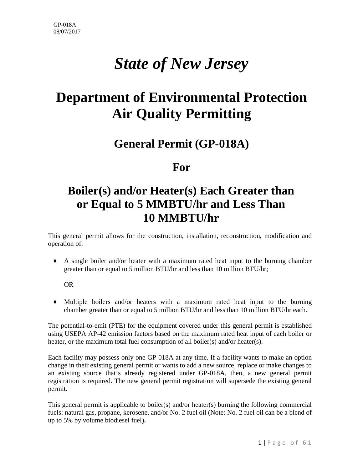# *State of New Jersey*

# **Department of Environmental Protection Air Quality Permitting**

## **General Permit (GP-018A)**

## **For**

# **Boiler(s) and/or Heater(s) Each Greater than or Equal to 5 MMBTU/hr and Less Than 10 MMBTU/hr**

This general permit allows for the construction, installation, reconstruction, modification and operation of:

♦ A single boiler and/or heater with a maximum rated heat input to the burning chamber greater than or equal to 5 million BTU/hr and less than 10 million BTU/hr;

#### OR

♦ Multiple boilers and/or heaters with a maximum rated heat input to the burning chamber greater than or equal to 5 million BTU/hr and less than 10 million BTU/hr each.

The potential-to-emit (PTE) for the equipment covered under this general permit is established using USEPA AP-42 emission factors based on the maximum rated heat input of each boiler or heater, or the maximum total fuel consumption of all boiler(s) and/or heater(s).

Each facility may possess only one GP-018A at any time. If a facility wants to make an option change in their existing general permit or wants to add a new source, replace or make changes to an existing source that's already registered under GP-018A, then, a new general permit registration is required. The new general permit registration will supersede the existing general permit.

This general permit is applicable to boiler(s) and/or heater(s) burning the following commercial fuels: natural gas, propane, kerosene, and/or No. 2 fuel oil (Note: No. 2 fuel oil can be a blend of up to 5% by volume biodiesel fuel)**.**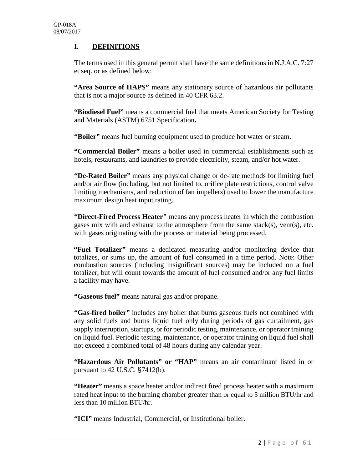## **I. DEFINITIONS**

The terms used in this general permit shall have the same definitions in N.J.A.C. 7:27 et seq. or as defined below:

**"Area Source of HAPS"** means any stationary source of hazardous air pollutants that is not a major source as defined in 40 CFR 63.2.

**"Biodiesel Fuel"** means a commercial fuel that meets American Society for Testing and Materials (ASTM) 6751 Specification**.**

**"Boiler"** means fuel burning equipment used to produce hot water or steam.

**"Commercial Boiler"** means a boiler used in commercial establishments such as hotels, restaurants, and laundries to provide electricity, steam, and/or hot water.

**"De-Rated Boiler"** means any physical change or de-rate methods for limiting fuel and/or air flow (including, but not limited to, orifice plate restrictions, control valve limiting mechanisms, and reduction of fan impellers) used to lower the manufacture maximum design heat input rating.

**"Direct-Fired Process Heater"** means any process heater in which the combustion gases mix with and exhaust to the atmosphere from the same stack(s), vent(s), etc. with gases originating with the process or material being processed.

**"Fuel Totalizer"** means a dedicated measuring and/or monitoring device that totalizes, or sums up, the amount of fuel consumed in a time period. Note: Other combustion sources (including insignificant sources) may be included on a fuel totalizer, but will count towards the amount of fuel consumed and/or any fuel limits a facility may have.

**"Gaseous fuel"** means natural gas and/or propane.

**"Gas-fired boiler"** includes any boiler that burns gaseous fuels not combined with any solid fuels and burns liquid fuel only during periods of gas curtailment, gas supply interruption, startups, or for periodic testing, maintenance, or operator training on liquid fuel. Periodic testing, maintenance, or operator training on liquid fuel shall not exceed a combined total of 48 hours during any calendar year.

**"Hazardous Air Pollutants" or "HAP"** means an air contaminant listed in or pursuant to 42 U.S.C. §7412(b).

**"Heater"** means a space heater and/or indirect fired process heater with a maximum rated heat input to the burning chamber greater than or equal to 5 million BTU/hr and less than 10 million BTU/hr.

**"ICI"** means Industrial, Commercial, or Institutional boiler.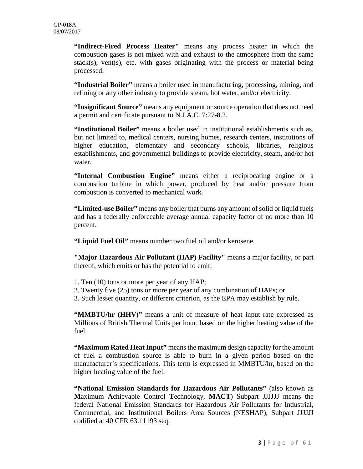**"Indirect-Fired Process Heater"** means any process heater in which the combustion gases is not mixed with and exhaust to the atmosphere from the same stack(s), vent(s), etc. with gases originating with the process or material being processed.

**"Industrial Boiler"** means a boiler used in manufacturing, processing, mining, and refining or any other industry to provide steam, hot water, and/or electricity.

**"Insignificant Source"** means any equipment or source operation that does not need a permit and certificate pursuant to N.J.A.C. 7:27-8.2.

**"Institutional Boiler"** means a boiler used in institutional establishments such as, but not limited to, medical centers, nursing homes, research centers, institutions of higher education, elementary and secondary schools, libraries, religious establishments, and governmental buildings to provide electricity, steam, and/or hot water.

**"Internal Combustion Engine"** means either a reciprocating engine or a combustion turbine in which power, produced by heat and/or pressure from combustion is converted to mechanical work.

**"Limited-use Boiler"** means any boiler that burns any amount of solid or liquid fuels and has a federally enforceable average annual capacity factor of no more than 10 percent.

**"Liquid Fuel Oil"** means number two fuel oil and/or kerosene.

**"Major Hazardous Air Pollutant (HAP) Facility"** means a major facility, or part thereof, which emits or has the potential to emit:

- 1. Ten (10) tons or more per year of any HAP;
- 2. Twenty five (25) tons or more per year of any combination of HAPs; or
- 3. Such lesser quantity, or different criterion, as the EPA may establish by rule.

**"MMBTU/hr (HHV)"** means a unit of measure of heat input rate expressed as Millions of British Thermal Units per hour, based on the higher heating value of the fuel.

**"Maximum Rated Heat Input"** means the maximum design capacity for the amount of fuel a combustion source is able to burn in a given period based on the manufacturer's specifications. This term is expressed in MMBTU/hr, based on the higher heating value of the fuel.

**"National Emission Standards for Hazardous Air Pollutants"** (also known as **M**aximum **A**chievable **C**ontrol **T**echnology, **MACT**) Subpart JJJJJJ means the federal National Emission Standards for Hazardous Air Pollutants for Industrial, Commercial, and Institutional Boilers Area Sources (NESHAP), Subpart JJJJJJ codified at 40 CFR 63.11193 seq.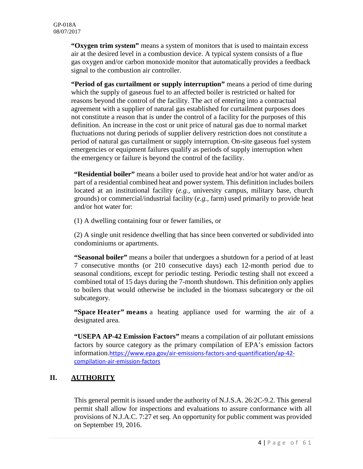**"Oxygen trim system"** means a system of monitors that is used to maintain excess air at the desired level in a combustion device. A typical system consists of a flue gas oxygen and/or carbon monoxide monitor that automatically provides a feedback signal to the combustion air controller.

**"Period of gas curtailment or supply interruption"** means a period of time during which the supply of gaseous fuel to an affected boiler is restricted or halted for reasons beyond the control of the facility. The act of entering into a contractual agreement with a supplier of natural gas established for curtailment purposes does not constitute a reason that is under the control of a facility for the purposes of this definition. An increase in the cost or unit price of natural gas due to normal market fluctuations not during periods of supplier delivery restriction does not constitute a period of natural gas curtailment or supply interruption. On-site gaseous fuel system emergencies or equipment failures qualify as periods of supply interruption when the emergency or failure is beyond the control of the facility.

**"Residential boiler"** means a boiler used to provide heat and/or hot water and/or as part of a residential combined heat and power system. This definition includes boilers located at an institutional facility (*e.g.,* university campus, military base, church grounds) or commercial/industrial facility (*e.g.,* farm) used primarily to provide heat and/or hot water for:

(1) A dwelling containing four or fewer families, or

(2) A single unit residence dwelling that has since been converted or subdivided into condominiums or apartments.

**"Seasonal boiler"** means a boiler that undergoes a shutdown for a period of at least 7 consecutive months (or 210 consecutive days) each 12-month period due to seasonal conditions, except for periodic testing. Periodic testing shall not exceed a combined total of 15 days during the 7-month shutdown. This definition only applies to boilers that would otherwise be included in the biomass subcategory or the oil subcategory.

**"Space Heater" means** a heating appliance used for warming the air of a designated area.

**"USEPA AP-42 Emission Factors"** means a compilation of air pollutant emissions factors by source category as the primary compilation of EPA's emission factors information.[https://www.epa.gov/air-emissions-factors-and-quantification/ap-42](https://www.epa.gov/air-emissions-factors-and-quantification/ap-42-compilation-air-emission-factors) [compilation-air-emission-factors](https://www.epa.gov/air-emissions-factors-and-quantification/ap-42-compilation-air-emission-factors)

## **II. AUTHORITY**

This general permit is issued under the authority of N.J.S.A. 26:2C-9.2. This general permit shall allow for inspections and evaluations to assure conformance with all provisions of N.J.A.C. 7:27 et seq. An opportunity for public comment was provided on September 19, 2016.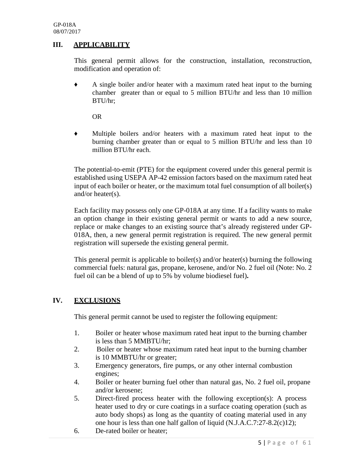## **III. APPLICABILITY**

This general permit allows for the construction, installation, reconstruction, modification and operation of:

♦ A single boiler and/or heater with a maximum rated heat input to the burning chamber greater than or equal to 5 million BTU/hr and less than 10 million BTU/hr;

OR

♦ Multiple boilers and/or heaters with a maximum rated heat input to the burning chamber greater than or equal to 5 million BTU/hr and less than 10 million BTU/hr each.

The potential-to-emit (PTE) for the equipment covered under this general permit is established using USEPA AP-42 emission factors based on the maximum rated heat input of each boiler or heater, or the maximum total fuel consumption of all boiler(s) and/or heater(s).

Each facility may possess only one GP-018A at any time. If a facility wants to make an option change in their existing general permit or wants to add a new source, replace or make changes to an existing source that's already registered under GP-018A, then, a new general permit registration is required. The new general permit registration will supersede the existing general permit.

This general permit is applicable to boiler(s) and/or heater(s) burning the following commercial fuels: natural gas, propane, kerosene, and/or No. 2 fuel oil (Note: No. 2 fuel oil can be a blend of up to 5% by volume biodiesel fuel)**.**

#### **IV. EXCLUSIONS**

This general permit cannot be used to register the following equipment:

- 1. Boiler or heater whose maximum rated heat input to the burning chamber is less than 5 MMBTU/hr;
- 2. Boiler or heater whose maximum rated heat input to the burning chamber is 10 MMBTU/hr or greater;
- 3. Emergency generators, fire pumps, or any other internal combustion engines;
- 4. Boiler or heater burning fuel other than natural gas, No. 2 fuel oil, propane and/or kerosene;
- 5. Direct-fired process heater with the following exception(s): A process heater used to dry or cure coatings in a surface coating operation (such as auto body shops) as long as the quantity of coating material used in any one hour is less than one half gallon of liquid (N.J.A.C.7:27-8.2(c)12);
- 6. De-rated boiler or heater;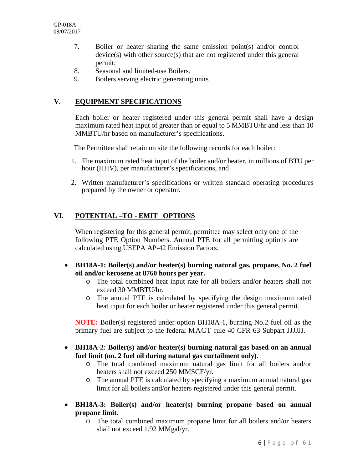- 7. Boiler or heater sharing the same emission point(s) and/or control device(s) with other source(s) that are not registered under this general permit;
- 8. Seasonal and limited-use Boilers.
- 9. Boilers serving electric generating units

## **V. EQUIPMENT SPECIFICATIONS**

Each boiler or heater registered under this general permit shall have a design maximum rated heat input of greater than or equal to 5 MMBTU/hr and less than 10 MMBTU/hr based on manufacturer's specifications.

The Permittee shall retain on site the following records for each boiler:

- 1. The maximum rated heat input of the boiler and/or heater, in millions of BTU per hour (HHV), per manufacturer's specifications, and
- 2. Written manufacturer's specifications or written standard operating procedures prepared by the owner or operator.

### **VI. POTENTIAL –TO - EMIT OPTIONS**

When registering for this general permit, permittee may select only one of the following PTE Option Numbers. Annual PTE for all permitting options are calculated using USEPA AP-42 Emission Factors.

- **BH18A-1: Boiler(s) and/or heater(s) burning natural gas, propane, No. 2 fuel oil and/or kerosene at 8760 hours per year.**
	- o The total combined heat input rate for all boilers and/or heaters shall not exceed 30 MMBTU/hr.
	- o The annual PTE is calculated by specifying the design maximum rated heat input for each boiler or heater registered under this general permit.

**NOTE:** Boiler(s) registered under option BH18A-1, burning No.2 fuel oil as the primary fuel are subject to the federal MACT rule 40 CFR 63 Subpart JJJJJJ.

- **BH18A-2: Boiler(s) and/or heater(s) burning natural gas based on an annual fuel limit (no. 2 fuel oil during natural gas curtailment only).**
	- o The total combined maximum natural gas limit for all boilers and/or heaters shall not exceed 250 MMSCF/yr.
	- o The annual PTE is calculated by specifying a maximum annual natural gas limit for all boilers and/or heaters registered under this general permit.
- **BH18A-3: Boiler(s) and/or heater(s) burning propane based on annual propane limit.**
	- o The total combined maximum propane limit for all boilers and/or heaters shall not exceed 1.92 MMgal/yr.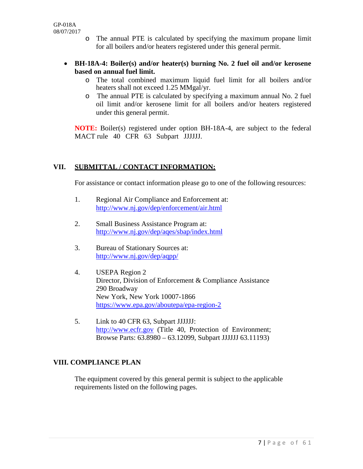- o The annual PTE is calculated by specifying the maximum propane limit for all boilers and/or heaters registered under this general permit.
- **BH-18A-4: Boiler(s) and/or heater(s) burning No. 2 fuel oil and/or kerosene based on annual fuel limit.**
	- o The total combined maximum liquid fuel limit for all boilers and/or heaters shall not exceed 1.25 MMgal/yr.
	- o The annual PTE is calculated by specifying a maximum annual No. 2 fuel oil limit and/or kerosene limit for all boilers and/or heaters registered under this general permit.

**NOTE:** Boiler(s) registered under option BH-18A-4, are subject to the federal MACT rule 40 CFR 63 Subpart JJJJJJ.

#### **VII. SUBMITTAL / CONTACT INFORMATION:**

For assistance or contact information please go to one of the following resources:

- 1. Regional Air Compliance and Enforcement at: <http://www.nj.gov/dep/enforcement/air.html>
- 2. Small Business Assistance Program at: <http://www.nj.gov/dep/aqes/sbap/index.html>
- 3. Bureau of Stationary Sources at: <http://www.nj.gov/dep/aqpp/>
- 4. USEPA Region 2 Director, Division of Enforcement & Compliance Assistance 290 Broadway New York, New York 10007-1866 <https://www.epa.gov/aboutepa/epa-region-2>
- 5. Link to 40 CFR 63, Subpart JJJJJJ: [http://www.ecfr.gov](http://www.ecfr.gov/) (Title 40, Protection of Environment; Browse Parts: 63.8980 – 63.12099, Subpart JJJJJJ 63.11193)

## **VIII. COMPLIANCE PLAN**

The equipment covered by this general permit is subject to the applicable requirements listed on the following pages.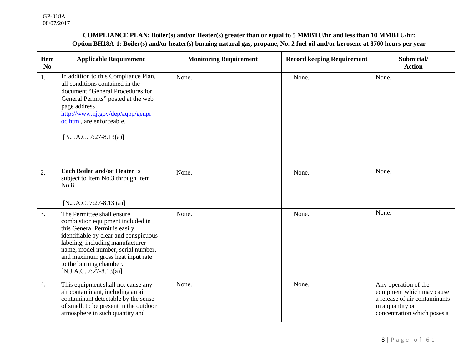#### **COMPLIANCE PLAN: Boiler(s) and/or Heater(s) greater than or equal to 5 MMBTU/hr and less than 10 MMBTU/hr: Option BH18A-1: Boiler(s) and/or heater(s) burning natural gas, propane, No. 2 fuel oil and/or kerosene at 8760 hours per year**

| <b>Item</b><br>N <sub>0</sub> | <b>Applicable Requirement</b>                                                                                                                                                                                                                                                                                   | <b>Monitoring Requirement</b> | <b>Record keeping Requirement</b> | Submittal/<br><b>Action</b>                                                                                                           |
|-------------------------------|-----------------------------------------------------------------------------------------------------------------------------------------------------------------------------------------------------------------------------------------------------------------------------------------------------------------|-------------------------------|-----------------------------------|---------------------------------------------------------------------------------------------------------------------------------------|
| 1.                            | In addition to this Compliance Plan,<br>all conditions contained in the<br>document "General Procedures for<br>General Permits" posted at the web<br>page address<br>http://www.nj.gov/dep/aqpp/genpr<br>oc.htm, are enforceable.<br>[N.J.A.C. 7:27-8.13(a)]                                                    | None.                         | None.                             | None.                                                                                                                                 |
| 2.                            | <b>Each Boiler and/or Heater is</b><br>subject to Item No.3 through Item<br>No.8.<br>$[N.J.A.C. 7:27-8.13(a)]$                                                                                                                                                                                                  | None.                         | None.                             | None.                                                                                                                                 |
| 3.                            | The Permittee shall ensure<br>combustion equipment included in<br>this General Permit is easily<br>identifiable by clear and conspicuous<br>labeling, including manufacturer<br>name, model number, serial number,<br>and maximum gross heat input rate<br>to the burning chamber.<br>$[N.J.A.C. 7:27-8.13(a)]$ | None.                         | None.                             | None.                                                                                                                                 |
| 4.                            | This equipment shall not cause any<br>air contaminant, including an air<br>contaminant detectable by the sense<br>of smell, to be present in the outdoor<br>atmosphere in such quantity and                                                                                                                     | None.                         | None.                             | Any operation of the<br>equipment which may cause<br>a release of air contaminants<br>in a quantity or<br>concentration which poses a |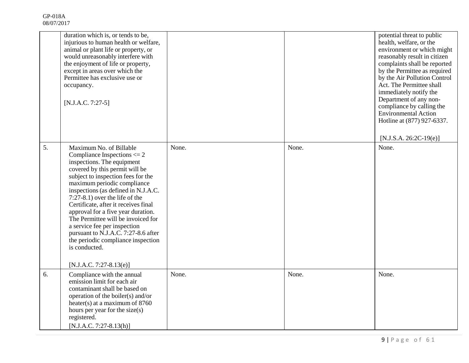|    | duration which is, or tends to be,<br>injurious to human health or welfare,<br>animal or plant life or property, or<br>would unreasonably interfere with<br>the enjoyment of life or property,<br>except in areas over which the<br>Permittee has exclusive use or<br>occupancy.<br>$[N.J.A.C. 7:27-5]$                                                                                                                                                                                                                                                    |       |       | potential threat to public<br>health, welfare, or the<br>environment or which might<br>reasonably result in citizen<br>complaints shall be reported<br>by the Permittee as required<br>by the Air Pollution Control<br>Act. The Permittee shall<br>immediately notify the<br>Department of any non-<br>compliance by calling the<br><b>Environmental Action</b><br>Hotline at (877) 927-6337.<br>$[N.J.S.A. 26:2C-19(e)]$ |
|----|------------------------------------------------------------------------------------------------------------------------------------------------------------------------------------------------------------------------------------------------------------------------------------------------------------------------------------------------------------------------------------------------------------------------------------------------------------------------------------------------------------------------------------------------------------|-------|-------|---------------------------------------------------------------------------------------------------------------------------------------------------------------------------------------------------------------------------------------------------------------------------------------------------------------------------------------------------------------------------------------------------------------------------|
| 5. | Maximum No. of Billable<br>Compliance Inspections $\leq$ 2<br>inspections. The equipment<br>covered by this permit will be<br>subject to inspection fees for the<br>maximum periodic compliance<br>inspections (as defined in N.J.A.C.<br>$7:27-8.1$ ) over the life of the<br>Certificate, after it receives final<br>approval for a five year duration.<br>The Permittee will be invoiced for<br>a service fee per inspection<br>pursuant to N.J.A.C. 7:27-8.6 after<br>the periodic compliance inspection<br>is conducted.<br>$[N.J.A.C. 7:27-8.13(e)]$ | None. | None. | None.                                                                                                                                                                                                                                                                                                                                                                                                                     |
| 6. | Compliance with the annual<br>emission limit for each air<br>contaminant shall be based on<br>operation of the boiler(s) and/or<br>heater(s) at a maximum of $8760$<br>hours per year for the size(s)<br>registered.<br>$[N.J.A.C. 7:27-8.13(h)]$                                                                                                                                                                                                                                                                                                          | None. | None. | None.                                                                                                                                                                                                                                                                                                                                                                                                                     |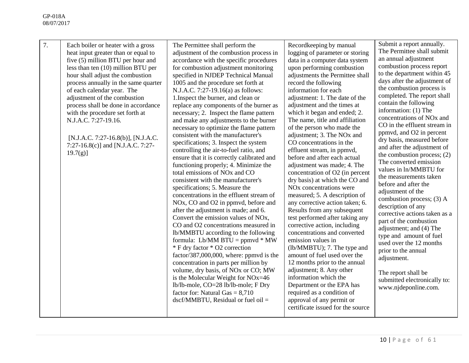| 7. | Each boiler or heater with a gross<br>heat input greater than or equal to<br>five (5) million BTU per hour and<br>less than ten $(10)$ million BTU per<br>hour shall adjust the combustion<br>process annually in the same quarter<br>of each calendar year. The<br>adjustment of the combustion<br>process shall be done in accordance<br>with the procedure set forth at<br>N.J.A.C. 7:27-19.16.<br>[N.J.A.C. 7:27-16.8(b)], [N.J.A.C.<br>7:27-16.8(c)] and [N.J.A.C. 7:27-<br>$19.7(g)$ ] | The Permittee shall perform the<br>adjustment of the combustion process in<br>accordance with the specific procedures<br>for combustion adjustment monitoring<br>specified in NJDEP Technical Manual<br>1005 and the procedure set forth at<br>N.J.A.C. 7:27-19.16(a) as follows:<br>1. Inspect the burner, and clean or<br>replace any components of the burner as<br>necessary; 2. Inspect the flame pattern<br>and make any adjustments to the burner<br>necessary to optimize the flame pattern<br>consistent with the manufacturer's<br>specifications; 3. Inspect the system<br>controlling the air-to-fuel ratio, and<br>ensure that it is correctly calibrated and<br>functioning properly; 4. Minimize the<br>total emissions of NO <sub>x</sub> and CO<br>consistent with the manufacturer's<br>specifications; 5. Measure the<br>concentrations in the effluent stream of<br>NO <sub>x</sub> , CO and O <sub>2</sub> in ppmvd, before and<br>after the adjustment is made; and 6.<br>Convert the emission values of NO <sub>x</sub> ,<br>CO and O2 concentrations measured in<br>lb/MMBTU according to the following<br>formula: Lb/MM $BTU = ppmvd * MW$<br>* F dry factor * O2 correction<br>factor/387,000,000, where: ppmvd is the<br>concentration in parts per million by<br>volume, dry basis, of NO <sub>x</sub> or CO; MW<br>is the Molecular Weight for NOx=46<br>lb/lb-mole, CO=28 lb/lb-mole; F Dry<br>factor for: Natural Gas $= 8,710$<br>$dscf/MMBTU$ , Residual or fuel oil = | Recordkeeping by manual<br>logging of parameter or storing<br>data in a computer data system<br>upon performing combustion<br>adjustments the Permittee shall<br>record the following<br>information for each<br>adjustment: 1. The date of the<br>adjustment and the times at<br>which it began and ended; 2.<br>The name, title and affiliation<br>of the person who made the<br>adjustment; 3. The NO <sub>x</sub> and<br>CO concentrations in the<br>effluent stream, in ppmvd,<br>before and after each actual<br>adjustment was made; 4. The<br>concentration of O2 (in percent<br>dry basis) at which the CO and<br>NO <sub>x</sub> concentrations were<br>measured; 5. A description of<br>any corrective action taken; 6.<br>Results from any subsequent<br>test performed after taking any<br>corrective action, including<br>concentrations and converted<br>emission values in<br>(lb/MMBTU); 7. The type and<br>amount of fuel used over the<br>12 months prior to the annual<br>adjustment; 8. Any other<br>information which the<br>Department or the EPA has<br>required as a condition of<br>approval of any permit or<br>certificate issued for the source | Submit a report annually.<br>The Permittee shall submit<br>an annual adjustment<br>combustion process report<br>to the department within 45<br>days after the adjustment of<br>the combustion process is<br>completed. The report shall<br>contain the following<br>information: (1) The<br>concentrations of NO <sub>x</sub> and<br>CO in the effluent stream in<br>ppmvd, and O2 in percent<br>dry basis, measured before<br>and after the adjustment of<br>the combustion process; $(2)$<br>The converted emission<br>values in ln/MMBTU for<br>the measurements taken<br>before and after the<br>adjustment of the<br>combustion process; (3) A<br>description of any<br>corrective actions taken as a<br>part of the combustion<br>adjustment; and (4) The<br>type and amount of fuel<br>used over the 12 months<br>prior to the annual<br>adjustment.<br>The report shall be<br>submitted electronically to:<br>www.njdeponline.com. |
|----|----------------------------------------------------------------------------------------------------------------------------------------------------------------------------------------------------------------------------------------------------------------------------------------------------------------------------------------------------------------------------------------------------------------------------------------------------------------------------------------------|----------------------------------------------------------------------------------------------------------------------------------------------------------------------------------------------------------------------------------------------------------------------------------------------------------------------------------------------------------------------------------------------------------------------------------------------------------------------------------------------------------------------------------------------------------------------------------------------------------------------------------------------------------------------------------------------------------------------------------------------------------------------------------------------------------------------------------------------------------------------------------------------------------------------------------------------------------------------------------------------------------------------------------------------------------------------------------------------------------------------------------------------------------------------------------------------------------------------------------------------------------------------------------------------------------------------------------------------------------------------------------------------------------------------------------------------------------------------------------------------------------|------------------------------------------------------------------------------------------------------------------------------------------------------------------------------------------------------------------------------------------------------------------------------------------------------------------------------------------------------------------------------------------------------------------------------------------------------------------------------------------------------------------------------------------------------------------------------------------------------------------------------------------------------------------------------------------------------------------------------------------------------------------------------------------------------------------------------------------------------------------------------------------------------------------------------------------------------------------------------------------------------------------------------------------------------------------------------------------------------------------------------------------------------------------------------|--------------------------------------------------------------------------------------------------------------------------------------------------------------------------------------------------------------------------------------------------------------------------------------------------------------------------------------------------------------------------------------------------------------------------------------------------------------------------------------------------------------------------------------------------------------------------------------------------------------------------------------------------------------------------------------------------------------------------------------------------------------------------------------------------------------------------------------------------------------------------------------------------------------------------------------------|
|----|----------------------------------------------------------------------------------------------------------------------------------------------------------------------------------------------------------------------------------------------------------------------------------------------------------------------------------------------------------------------------------------------------------------------------------------------------------------------------------------------|----------------------------------------------------------------------------------------------------------------------------------------------------------------------------------------------------------------------------------------------------------------------------------------------------------------------------------------------------------------------------------------------------------------------------------------------------------------------------------------------------------------------------------------------------------------------------------------------------------------------------------------------------------------------------------------------------------------------------------------------------------------------------------------------------------------------------------------------------------------------------------------------------------------------------------------------------------------------------------------------------------------------------------------------------------------------------------------------------------------------------------------------------------------------------------------------------------------------------------------------------------------------------------------------------------------------------------------------------------------------------------------------------------------------------------------------------------------------------------------------------------|------------------------------------------------------------------------------------------------------------------------------------------------------------------------------------------------------------------------------------------------------------------------------------------------------------------------------------------------------------------------------------------------------------------------------------------------------------------------------------------------------------------------------------------------------------------------------------------------------------------------------------------------------------------------------------------------------------------------------------------------------------------------------------------------------------------------------------------------------------------------------------------------------------------------------------------------------------------------------------------------------------------------------------------------------------------------------------------------------------------------------------------------------------------------------|--------------------------------------------------------------------------------------------------------------------------------------------------------------------------------------------------------------------------------------------------------------------------------------------------------------------------------------------------------------------------------------------------------------------------------------------------------------------------------------------------------------------------------------------------------------------------------------------------------------------------------------------------------------------------------------------------------------------------------------------------------------------------------------------------------------------------------------------------------------------------------------------------------------------------------------------|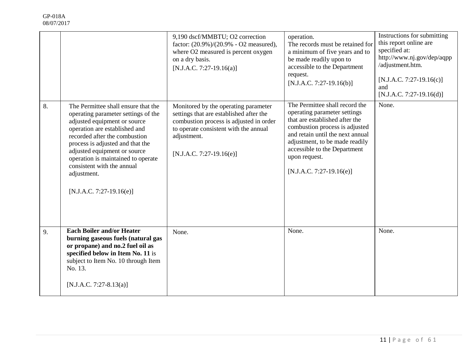|    |                                                                                                                                                                                                                                                                                                                                                                 | 9,190 dscf/MMBTU; O2 correction<br>factor: (20.9%)/(20.9% - O2 measured),<br>where O2 measured is percent oxygen<br>on a dry basis.<br>[N.J.A.C. 7:27-19.16(a)]                                                  | operation.<br>The records must be retained for<br>a minimum of five years and to<br>be made readily upon to<br>accessible to the Department<br>request.<br>$[N.J.A.C. 7:27-19.16(b)]$                                                                                                   | Instructions for submitting<br>this report online are<br>specified at:<br>http://www.nj.gov/dep/aqpp<br>/adjustment.htm.<br>$[N.J.A.C. 7:27-19.16(c)]$<br>and<br>$[N.J.A.C. 7:27-19.16(d)]$ |
|----|-----------------------------------------------------------------------------------------------------------------------------------------------------------------------------------------------------------------------------------------------------------------------------------------------------------------------------------------------------------------|------------------------------------------------------------------------------------------------------------------------------------------------------------------------------------------------------------------|-----------------------------------------------------------------------------------------------------------------------------------------------------------------------------------------------------------------------------------------------------------------------------------------|---------------------------------------------------------------------------------------------------------------------------------------------------------------------------------------------|
| 8. | The Permittee shall ensure that the<br>operating parameter settings of the<br>adjusted equipment or source<br>operation are established and<br>recorded after the combustion<br>process is adjusted and that the<br>adjusted equipment or source<br>operation is maintained to operate<br>consistent with the annual<br>adjustment.<br>[N.J.A.C. 7:27-19.16(e)] | Monitored by the operating parameter<br>settings that are established after the<br>combustion process is adjusted in order<br>to operate consistent with the annual<br>adjustment.<br>$[N.J.A.C. 7:27-19.16(e)]$ | The Permittee shall record the<br>operating parameter settings<br>that are established after the<br>combustion process is adjusted<br>and retain until the next annual<br>adjustment, to be made readily<br>accessible to the Department<br>upon request.<br>$[N.J.A.C. 7:27-19.16(e)]$ | None.                                                                                                                                                                                       |
| 9. | <b>Each Boiler and/or Heater</b><br>burning gaseous fuels (natural gas<br>or propane) and no.2 fuel oil as<br>specified below in Item No. 11 is<br>subject to Item No. 10 through Item<br>No. 13.<br>[N.J.A.C. 7:27-8.13(a)]                                                                                                                                    | None.                                                                                                                                                                                                            | None.                                                                                                                                                                                                                                                                                   | None.                                                                                                                                                                                       |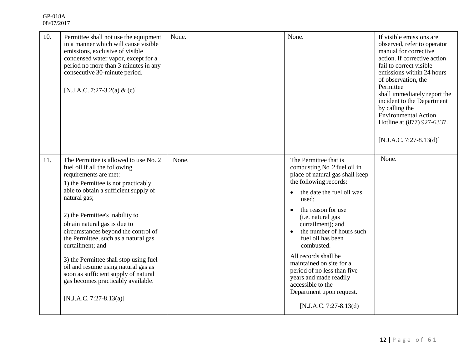| 10. | Permittee shall not use the equipment<br>in a manner which will cause visible<br>emissions, exclusive of visible<br>condensed water vapor, except for a<br>period no more than 3 minutes in any<br>consecutive 30-minute period.<br>[N.J.A.C. 7:27-3.2(a) & (c)]                                                                                                                                                                                                                                                                                                | None. | None.                                                                                                                                                                                                                                                                                                                                                                                                                                                                              | If visible emissions are<br>observed, refer to operator<br>manual for corrective<br>action. If corrective action<br>fail to correct visible<br>emissions within 24 hours<br>of observation, the<br>Permittee<br>shall immediately report the<br>incident to the Department<br>by calling the<br><b>Environmental Action</b><br>Hotline at (877) 927-6337.<br>$[N.J.A.C. 7:27-8.13(d)]$ |
|-----|-----------------------------------------------------------------------------------------------------------------------------------------------------------------------------------------------------------------------------------------------------------------------------------------------------------------------------------------------------------------------------------------------------------------------------------------------------------------------------------------------------------------------------------------------------------------|-------|------------------------------------------------------------------------------------------------------------------------------------------------------------------------------------------------------------------------------------------------------------------------------------------------------------------------------------------------------------------------------------------------------------------------------------------------------------------------------------|----------------------------------------------------------------------------------------------------------------------------------------------------------------------------------------------------------------------------------------------------------------------------------------------------------------------------------------------------------------------------------------|
| 11. | The Permittee is allowed to use No. 2<br>fuel oil if all the following<br>requirements are met:<br>1) the Permittee is not practicably<br>able to obtain a sufficient supply of<br>natural gas;<br>2) the Permittee's inability to<br>obtain natural gas is due to<br>circumstances beyond the control of<br>the Permittee, such as a natural gas<br>curtailment; and<br>3) the Permittee shall stop using fuel<br>oil and resume using natural gas as<br>soon as sufficient supply of natural<br>gas becomes practicably available.<br>[N.J.A.C. 7:27-8.13(a)] | None. | The Permittee that is<br>combusting No. 2 fuel oil in<br>place of natural gas shall keep<br>the following records:<br>the date the fuel oil was<br>used:<br>the reason for use<br>(i.e. natural gas<br>curtailment); and<br>the number of hours such<br>fuel oil has been<br>combusted.<br>All records shall be<br>maintained on site for a<br>period of no less than five<br>years and made readily<br>accessible to the<br>Department upon request.<br>$[N.J.A.C. 7:27-8.13(d)]$ | None.                                                                                                                                                                                                                                                                                                                                                                                  |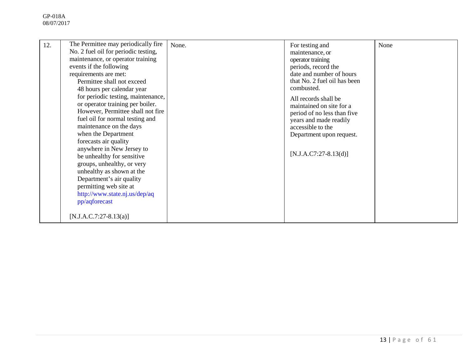| No. 2 fuel oil for periodic testing,<br>maintenance, or operator training<br>events if the following<br>requirements are met:<br>Permittee shall not exceed<br>48 hours per calendar year<br>for periodic testing, maintenance,<br>or operator training per boiler.<br>However, Permittee shall not fire<br>fuel oil for normal testing and<br>maintenance on the days<br>when the Department<br>forecasts air quality<br>anywhere in New Jersey to |                                     | maintenance, or<br>operator training<br>periods, record the<br>date and number of hours<br>that No. 2 fuel oil has been<br>combusted.<br>All records shall be<br>maintained on site for a<br>period of no less than five<br>years and made readily<br>accessible to the<br>Department upon request. | None            |
|-----------------------------------------------------------------------------------------------------------------------------------------------------------------------------------------------------------------------------------------------------------------------------------------------------------------------------------------------------------------------------------------------------------------------------------------------------|-------------------------------------|-----------------------------------------------------------------------------------------------------------------------------------------------------------------------------------------------------------------------------------------------------------------------------------------------------|-----------------|
|                                                                                                                                                                                                                                                                                                                                                                                                                                                     | The Permittee may periodically fire | None.                                                                                                                                                                                                                                                                                               | For testing and |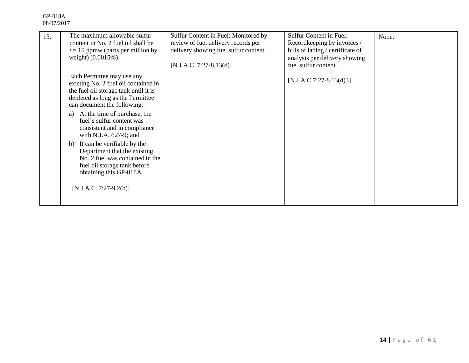| 13. | The maximum allowable sulfur<br>content in No. 2 fuel oil shall be<br>$\leq$ 15 ppmw (parts per million by<br>weight) (0.0015%).                                                | Sulfur Content in Fuel: Monitored by<br>review of fuel delivery records per<br>delivery showing fuel sulfur content.<br>$[N.J.A.C. 7:27-8.13(d)]$ | <b>Sulfur Content in Fuel:</b><br>Recordkeeping by invoices /<br>bills of lading / certificate of<br>analysis per delivery showing<br>fuel sulfur content. | None. |
|-----|---------------------------------------------------------------------------------------------------------------------------------------------------------------------------------|---------------------------------------------------------------------------------------------------------------------------------------------------|------------------------------------------------------------------------------------------------------------------------------------------------------------|-------|
|     | Each Permittee may use any<br>existing No. 2 fuel oil contained in<br>the fuel oil storage tank until it is<br>depleted as long as the Permittee<br>can document the following: |                                                                                                                                                   | $[N.J.A.C.7:27-8.13(d)3]$                                                                                                                                  |       |
|     | At the time of purchase, the<br>a)<br>fuel's sulfur content was<br>consistent and in compliance<br>with N.J.A.7:27-9; and                                                       |                                                                                                                                                   |                                                                                                                                                            |       |
|     | b) It can be verifiable by the<br>Department that the existing<br>No. 2 fuel was contained in the<br>fuel oil storage tank before<br>obtaining this GP-018A.                    |                                                                                                                                                   |                                                                                                                                                            |       |
|     | $[N.J.A.C. 7:27-9.2(b)]$                                                                                                                                                        |                                                                                                                                                   |                                                                                                                                                            |       |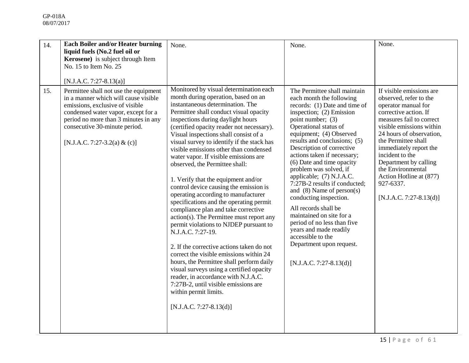| 14. | <b>Each Boiler and/or Heater burning</b><br>liquid fuels (No.2 fuel oil or<br>Kerosene) is subject through Item<br>No. 15 to Item No. 25<br>[N.J.A.C. 7:27-8.13(a)]                                                                                              | None.                                                                                                                                                                                                                                                                                                                                                                                                                                                                                                                                                                                                                                                                                                                                                                                                                                                                                                                                                                                                                                                                                               | None.                                                                                                                                                                                                                                                                                                                                                                                                                                                                                                                                                                                                                                                                 | None.                                                                                                                                                                                                                                                                                                                                                                         |
|-----|------------------------------------------------------------------------------------------------------------------------------------------------------------------------------------------------------------------------------------------------------------------|-----------------------------------------------------------------------------------------------------------------------------------------------------------------------------------------------------------------------------------------------------------------------------------------------------------------------------------------------------------------------------------------------------------------------------------------------------------------------------------------------------------------------------------------------------------------------------------------------------------------------------------------------------------------------------------------------------------------------------------------------------------------------------------------------------------------------------------------------------------------------------------------------------------------------------------------------------------------------------------------------------------------------------------------------------------------------------------------------------|-----------------------------------------------------------------------------------------------------------------------------------------------------------------------------------------------------------------------------------------------------------------------------------------------------------------------------------------------------------------------------------------------------------------------------------------------------------------------------------------------------------------------------------------------------------------------------------------------------------------------------------------------------------------------|-------------------------------------------------------------------------------------------------------------------------------------------------------------------------------------------------------------------------------------------------------------------------------------------------------------------------------------------------------------------------------|
| 15. | Permittee shall not use the equipment<br>in a manner which will cause visible<br>emissions, exclusive of visible<br>condensed water vapor, except for a<br>period no more than 3 minutes in any<br>consecutive 30-minute period.<br>[N.J.A.C. 7:27-3.2(a) & (c)] | Monitored by visual determination each<br>month during operation, based on an<br>instantaneous determination. The<br>Permittee shall conduct visual opacity<br>inspections during daylight hours<br>(certified opacity reader not necessary).<br>Visual inspections shall consist of a<br>visual survey to identify if the stack has<br>visible emissions other than condensed<br>water vapor. If visible emissions are<br>observed, the Permittee shall:<br>1. Verify that the equipment and/or<br>control device causing the emission is<br>operating according to manufacturer<br>specifications and the operating permit<br>compliance plan and take corrective<br>action(s). The Permittee must report any<br>permit violations to NJDEP pursuant to<br>N.J.A.C. 7:27-19.<br>2. If the corrective actions taken do not<br>correct the visible emissions within 24<br>hours, the Permittee shall perform daily<br>visual surveys using a certified opacity<br>reader, in accordance with N.J.A.C.<br>7:27B-2, until visible emissions are<br>within permit limits.<br>$[N.J.A.C. 7:27-8.13(d)]$ | The Permittee shall maintain<br>each month the following<br>records: (1) Date and time of<br>inspection; (2) Emission<br>point number; (3)<br>Operational status of<br>equipment; (4) Observed<br>results and conclusions; (5)<br>Description of corrective<br>actions taken if necessary;<br>(6) Date and time opacity<br>problem was solved, if<br>applicable; (7) N.J.A.C.<br>7:27B-2 results if conducted;<br>and $(8)$ Name of person $(s)$<br>conducting inspection.<br>All records shall be<br>maintained on site for a<br>period of no less than five<br>years and made readily<br>accessible to the<br>Department upon request.<br>$[N.J.A.C. 7:27-8.13(d)]$ | If visible emissions are<br>observed, refer to the<br>operator manual for<br>corrective action. If<br>measures fail to correct<br>visible emissions within<br>24 hours of observation,<br>the Permittee shall<br>immediately report the<br>incident to the<br>Department by calling<br>the Environmental<br>Action Hotline at (877)<br>927-6337.<br>$[N.J.A.C. 7:27-8.13(d)]$ |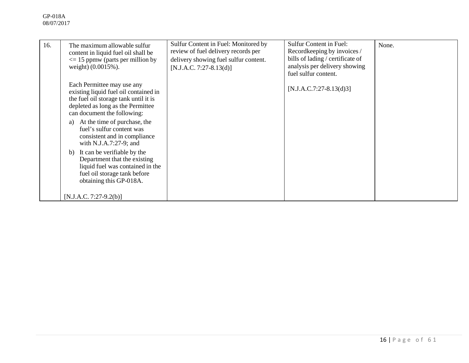| 16. | The maximum allowable sulfur<br>content in liquid fuel oil shall be<br>$\leq$ 15 ppmw (parts per million by<br>weight) (0.0015%).                                                                                                                                                   | Sulfur Content in Fuel: Monitored by<br>review of fuel delivery records per<br>delivery showing fuel sulfur content.<br>$[N.J.A.C. 7:27-8.13(d)]$ | <b>Sulfur Content in Fuel:</b><br>Recordkeeping by invoices /<br>bills of lading / certificate of<br>analysis per delivery showing<br>fuel sulfur content. | None. |
|-----|-------------------------------------------------------------------------------------------------------------------------------------------------------------------------------------------------------------------------------------------------------------------------------------|---------------------------------------------------------------------------------------------------------------------------------------------------|------------------------------------------------------------------------------------------------------------------------------------------------------------|-------|
|     | Each Permittee may use any<br>existing liquid fuel oil contained in<br>the fuel oil storage tank until it is<br>depleted as long as the Permittee<br>can document the following:<br>At the time of purchase, the<br>a)<br>fuel's sulfur content was<br>consistent and in compliance |                                                                                                                                                   | $[N.J.A.C.7:27-8.13(d)3]$                                                                                                                                  |       |
|     | with N.J.A.7:27-9; and<br>It can be verifiable by the<br>b)<br>Department that the existing<br>liquid fuel was contained in the<br>fuel oil storage tank before<br>obtaining this GP-018A.                                                                                          |                                                                                                                                                   |                                                                                                                                                            |       |
|     | $[N.J.A.C. 7:27-9.2(b)]$                                                                                                                                                                                                                                                            |                                                                                                                                                   |                                                                                                                                                            |       |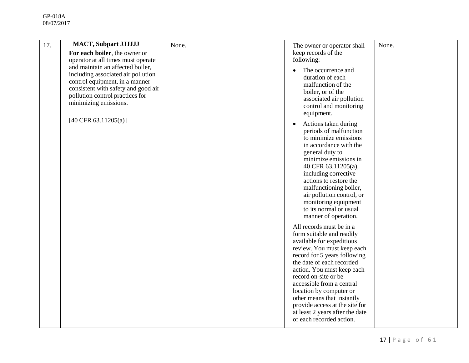| 17. | <b>MACT, Subpart JJJJJJJ</b><br>For each boiler, the owner or                                                                                                                                               | None. | The owner or operator shall<br>keep records of the                                                                                                                                                                                                                                                                                                                                                                         | None. |
|-----|-------------------------------------------------------------------------------------------------------------------------------------------------------------------------------------------------------------|-------|----------------------------------------------------------------------------------------------------------------------------------------------------------------------------------------------------------------------------------------------------------------------------------------------------------------------------------------------------------------------------------------------------------------------------|-------|
|     | operator at all times must operate                                                                                                                                                                          |       | following:                                                                                                                                                                                                                                                                                                                                                                                                                 |       |
|     | and maintain an affected boiler,<br>including associated air pollution<br>control equipment, in a manner<br>consistent with safety and good air<br>pollution control practices for<br>minimizing emissions. |       | The occurrence and<br>duration of each<br>malfunction of the<br>boiler, or of the<br>associated air pollution<br>control and monitoring<br>equipment.                                                                                                                                                                                                                                                                      |       |
|     | [40 CFR 63.11205(a)]                                                                                                                                                                                        |       | Actions taken during<br>$\bullet$<br>periods of malfunction<br>to minimize emissions<br>in accordance with the<br>general duty to<br>minimize emissions in<br>40 CFR 63.11205(a),<br>including corrective<br>actions to restore the<br>malfunctioning boiler,<br>air pollution control, or<br>monitoring equipment<br>to its normal or usual<br>manner of operation.                                                       |       |
|     |                                                                                                                                                                                                             |       | All records must be in a<br>form suitable and readily<br>available for expeditious<br>review. You must keep each<br>record for 5 years following<br>the date of each recorded<br>action. You must keep each<br>record on-site or be<br>accessible from a central<br>location by computer or<br>other means that instantly<br>provide access at the site for<br>at least 2 years after the date<br>of each recorded action. |       |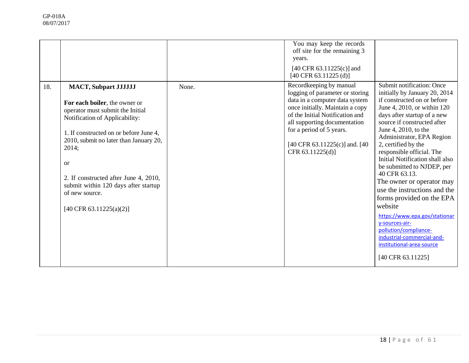|     |                                                                                                                                                                                                                                                                                                                                                                                            |       | You may keep the records<br>off site for the remaining 3<br>years.<br>[40 CFR 63.11225(c)] and<br>$[40 \text{ CFR } 63.11225 \text{ (d)}]$                                                                                                                                           |                                                                                                                                                                                                                                                                                                                                                                                                                                                                                                                                                                                                                                                    |
|-----|--------------------------------------------------------------------------------------------------------------------------------------------------------------------------------------------------------------------------------------------------------------------------------------------------------------------------------------------------------------------------------------------|-------|--------------------------------------------------------------------------------------------------------------------------------------------------------------------------------------------------------------------------------------------------------------------------------------|----------------------------------------------------------------------------------------------------------------------------------------------------------------------------------------------------------------------------------------------------------------------------------------------------------------------------------------------------------------------------------------------------------------------------------------------------------------------------------------------------------------------------------------------------------------------------------------------------------------------------------------------------|
| 18. | <b>MACT, Subpart JJJJJJJ</b><br>For each boiler, the owner or<br>operator must submit the Initial<br>Notification of Applicability:<br>1. If constructed on or before June 4,<br>2010, submit no later than January 20,<br>2014;<br><sub>or</sub><br>2. If constructed after June 4, 2010,<br>submit within 120 days after startup<br>of new source.<br>$[40 \text{ CFR } 63.11225(a)(2)]$ | None. | Recordkeeping by manual<br>logging of parameter or storing<br>data in a computer data system<br>once initially. Maintain a copy<br>of the Initial Notification and<br>all supporting documentation<br>for a period of 5 years.<br>[40 CFR 63.11225(c)] and. [40]<br>CFR 63.11225(d)] | Submit notification: Once<br>initially by January 20, 2014<br>if constructed on or before<br>June 4, 2010, or within 120<br>days after startup of a new<br>source if constructed after<br>June 4, 2010, to the<br>Administrator, EPA Region<br>2, certified by the<br>responsible official. The<br>Initial Notification shall also<br>be submitted to NJDEP, per<br>40 CFR 63.13.<br>The owner or operator may<br>use the instructions and the<br>forms provided on the EPA<br>website<br>https://www.epa.gov/stationar<br>y-sources-air-<br>pollution/compliance-<br>industrial-commercial-and-<br>institutional-area-source<br>[40 CFR 63.11225] |
|     |                                                                                                                                                                                                                                                                                                                                                                                            |       |                                                                                                                                                                                                                                                                                      |                                                                                                                                                                                                                                                                                                                                                                                                                                                                                                                                                                                                                                                    |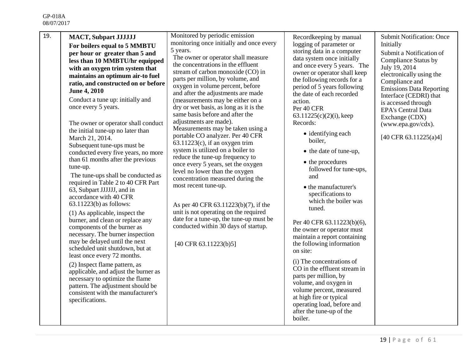| 19. | <b>MACT, Subpart JJJJJJJ</b><br>For boilers equal to 5 MMBTU<br>per hour or greater than 5 and<br>less than 10 MMBTU/hr equipped<br>with an oxygen trim system that<br>maintains an optimum air-to fuel<br>ratio, and constructed on or before<br><b>June 4, 2010</b><br>Conduct a tune up: initially and<br>once every 5 years.<br>The owner or operator shall conduct<br>the initial tune-up no later than<br>March 21, 2014.<br>Subsequent tune-ups must be<br>conducted every five years, no more<br>than 61 months after the previous<br>tune-up.<br>The tune-ups shall be conducted as<br>required in Table 2 to 40 CFR Part<br>63, Subpart JJJJJJ, and in<br>accordance with 40 CFR<br>$63.11223(b)$ as follows:<br>(1) As applicable, inspect the<br>burner, and clean or replace any<br>components of the burner as<br>necessary. The burner inspection<br>may be delayed until the next<br>scheduled unit shutdown, but at<br>least once every 72 months.<br>(2) Inspect flame pattern, as<br>applicable, and adjust the burner as<br>necessary to optimize the flame<br>pattern. The adjustment should be<br>consistent with the manufacturer's<br>specifications. | Monitored by periodic emission<br>monitoring once initially and once every<br>5 years.<br>The owner or operator shall measure<br>the concentrations in the effluent<br>stream of carbon monoxide (CO) in<br>parts per million, by volume, and<br>oxygen in volume percent, before<br>and after the adjustments are made<br>(measurements may be either on a<br>dry or wet basis, as long as it is the<br>same basis before and after the<br>adjustments are made).<br>Measurements may be taken using a<br>portable CO analyzer. Per 40 CFR<br>$63.11223(c)$ , if an oxygen trim<br>system is utilized on a boiler to<br>reduce the tune-up frequency to<br>once every 5 years, set the oxygen<br>level no lower than the oxygen<br>concentration measured during the<br>most recent tune-up.<br>As per 40 CFR 63.11223(b)(7), if the<br>unit is not operating on the required<br>date for a tune-up, the tune-up must be<br>conducted within 30 days of startup.<br>[40 CFR 63.11223(b)5] | Recordkeeping by manual<br>logging of parameter or<br>storing data in a computer<br>data system once initially<br>and once every 5 years. The<br>owner or operator shall keep<br>the following records for a<br>period of 5 years following<br>the date of each recorded<br>action.<br>Per 40 CFR<br>$63.11225(c)(2)(i)$ , keep<br>Records:<br>• identifying each<br>boiler,<br>• the date of tune-up,<br>• the procedures<br>followed for tune-ups,<br>and<br>• the manufacturer's<br>specifications to<br>which the boiler was<br>tuned.<br>Per 40 CFR 63.11223(b)(6),<br>the owner or operator must<br>maintain a report containing<br>the following information<br>on site:<br>(i) The concentrations of<br>CO in the effluent stream in<br>parts per million, by<br>volume, and oxygen in<br>volume percent, measured<br>at high fire or typical<br>operating load, before and<br>after the tune-up of the<br>boiler. | <b>Submit Notification: Once</b><br>Initially<br>Submit a Notification of<br><b>Compliance Status by</b><br>July 19, 2014<br>electronically using the<br>Compliance and<br><b>Emissions Data Reporting</b><br>Interface (CEDRI) that<br>is accessed through<br><b>EPA's Central Data</b><br>Exchange (CDX)<br>(www.epa.gov/cdx).<br>[40 CFR 63.11225(a)4] |
|-----|-------------------------------------------------------------------------------------------------------------------------------------------------------------------------------------------------------------------------------------------------------------------------------------------------------------------------------------------------------------------------------------------------------------------------------------------------------------------------------------------------------------------------------------------------------------------------------------------------------------------------------------------------------------------------------------------------------------------------------------------------------------------------------------------------------------------------------------------------------------------------------------------------------------------------------------------------------------------------------------------------------------------------------------------------------------------------------------------------------------------------------------------------------------------------------|--------------------------------------------------------------------------------------------------------------------------------------------------------------------------------------------------------------------------------------------------------------------------------------------------------------------------------------------------------------------------------------------------------------------------------------------------------------------------------------------------------------------------------------------------------------------------------------------------------------------------------------------------------------------------------------------------------------------------------------------------------------------------------------------------------------------------------------------------------------------------------------------------------------------------------------------------------------------------------------------|----------------------------------------------------------------------------------------------------------------------------------------------------------------------------------------------------------------------------------------------------------------------------------------------------------------------------------------------------------------------------------------------------------------------------------------------------------------------------------------------------------------------------------------------------------------------------------------------------------------------------------------------------------------------------------------------------------------------------------------------------------------------------------------------------------------------------------------------------------------------------------------------------------------------------|-----------------------------------------------------------------------------------------------------------------------------------------------------------------------------------------------------------------------------------------------------------------------------------------------------------------------------------------------------------|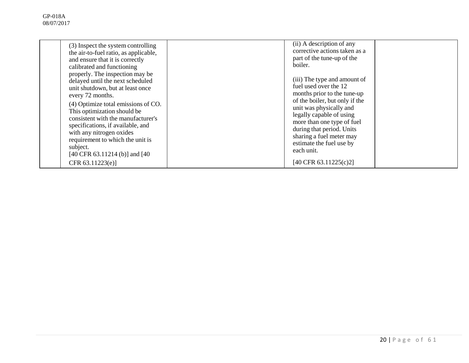| (3) Inspect the system controlling<br>the air-to-fuel ratio, as applicable,<br>and ensure that it is correctly<br>calibrated and functioning                                                                                                                                                                                                                                               | (ii) A description of any<br>corrective actions taken as a<br>part of the tune-up of the<br>boiler.                                                                                                                                                                                                            |  |
|--------------------------------------------------------------------------------------------------------------------------------------------------------------------------------------------------------------------------------------------------------------------------------------------------------------------------------------------------------------------------------------------|----------------------------------------------------------------------------------------------------------------------------------------------------------------------------------------------------------------------------------------------------------------------------------------------------------------|--|
| properly. The inspection may be<br>delayed until the next scheduled<br>unit shutdown, but at least once<br>every 72 months.<br>(4) Optimize total emissions of CO.<br>This optimization should be<br>consistent with the manufacturer's<br>specifications, if available, and<br>with any nitrogen oxides<br>requirement to which the unit is<br>subject.<br>[40 CFR 63.11214 (b)] and [40] | (iii) The type and amount of<br>fuel used over the 12<br>months prior to the tune-up<br>of the boiler, but only if the<br>unit was physically and<br>legally capable of using<br>more than one type of fuel<br>during that period. Units<br>sharing a fuel meter may<br>estimate the fuel use by<br>each unit. |  |
| CFR $63.11223(e)$ ]                                                                                                                                                                                                                                                                                                                                                                        | [40 CFR 63.11225(c)2]                                                                                                                                                                                                                                                                                          |  |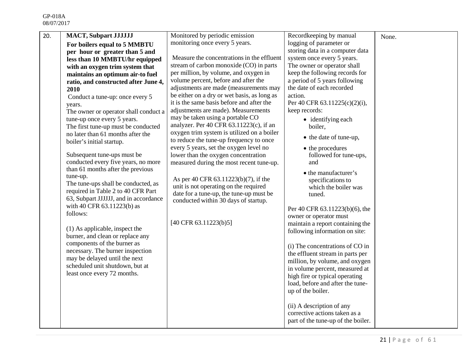| 20. | <b>MACT, Subpart JJJJJJJ</b>                                              | Monitored by periodic emission                                                        | Recordkeeping by manual                                          | None. |
|-----|---------------------------------------------------------------------------|---------------------------------------------------------------------------------------|------------------------------------------------------------------|-------|
|     | For boilers equal to 5 MMBTU                                              | monitoring once every 5 years.                                                        | logging of parameter or                                          |       |
|     | per hour or greater than 5 and                                            |                                                                                       | storing data in a computer data                                  |       |
|     | less than 10 MMBTU/hr equipped                                            | Measure the concentrations in the effluent                                            | system once every 5 years.                                       |       |
|     | with an oxygen trim system that                                           | stream of carbon monoxide (CO) in parts                                               | The owner or operator shall                                      |       |
|     | maintains an optimum air-to fuel                                          | per million, by volume, and oxygen in                                                 | keep the following records for                                   |       |
|     | ratio, and constructed after June 4,                                      | volume percent, before and after the                                                  | a period of 5 years following                                    |       |
|     | 2010                                                                      | adjustments are made (measurements may                                                | the date of each recorded                                        |       |
|     | Conduct a tune-up: once every 5                                           | be either on a dry or wet basis, as long as                                           | action.                                                          |       |
|     | years.                                                                    | it is the same basis before and after the                                             | Per 40 CFR 63.11225(c)(2)(i),                                    |       |
|     | The owner or operator shall conduct a                                     | adjustments are made). Measurements                                                   | keep records:                                                    |       |
|     | tune-up once every 5 years.                                               | may be taken using a portable CO                                                      | • identifying each                                               |       |
|     | The first tune-up must be conducted                                       | analyzer. Per 40 CFR $63.11223(c)$ , if an                                            | boiler,                                                          |       |
|     | no later than 61 months after the<br>boiler's initial startup.            | oxygen trim system is utilized on a boiler<br>to reduce the tune-up frequency to once | • the date of tune-up,                                           |       |
|     |                                                                           | every 5 years, set the oxygen level no                                                | • the procedures                                                 |       |
|     | Subsequent tune-ups must be                                               | lower than the oxygen concentration                                                   | followed for tune-ups,                                           |       |
|     | conducted every five years, no more                                       | measured during the most recent tune-up.                                              | and                                                              |       |
|     | than 61 months after the previous                                         |                                                                                       | • the manufacturer's                                             |       |
|     | tune-up.                                                                  | As per 40 CFR 63.11223(b)(7), if the                                                  | specifications to                                                |       |
|     | The tune-ups shall be conducted, as<br>required in Table 2 to 40 CFR Part | unit is not operating on the required                                                 | which the boiler was                                             |       |
|     | 63, Subpart JJJJJJ, and in accordance                                     | date for a tune-up, the tune-up must be                                               | tuned.                                                           |       |
|     | with 40 CFR 63.11223(b) as                                                | conducted within 30 days of startup.                                                  |                                                                  |       |
|     | follows:                                                                  |                                                                                       | Per 40 CFR 63.11223(b)(6), the                                   |       |
|     |                                                                           |                                                                                       | owner or operator must                                           |       |
|     | (1) As applicable, inspect the                                            | [40 CFR 63.11223(b)5]                                                                 | maintain a report containing the                                 |       |
|     | burner, and clean or replace any                                          |                                                                                       | following information on site:                                   |       |
|     | components of the burner as                                               |                                                                                       |                                                                  |       |
|     | necessary. The burner inspection                                          |                                                                                       | (i) The concentrations of CO in                                  |       |
|     | may be delayed until the next                                             |                                                                                       | the effluent stream in parts per                                 |       |
|     | scheduled unit shutdown, but at                                           |                                                                                       | million, by volume, and oxygen<br>in volume percent, measured at |       |
|     | least once every 72 months.                                               |                                                                                       | high fire or typical operating                                   |       |
|     |                                                                           |                                                                                       | load, before and after the tune-                                 |       |
|     |                                                                           |                                                                                       | up of the boiler.                                                |       |
|     |                                                                           |                                                                                       |                                                                  |       |
|     |                                                                           |                                                                                       | (ii) A description of any                                        |       |
|     |                                                                           |                                                                                       | corrective actions taken as a                                    |       |
|     |                                                                           |                                                                                       | part of the tune-up of the boiler.                               |       |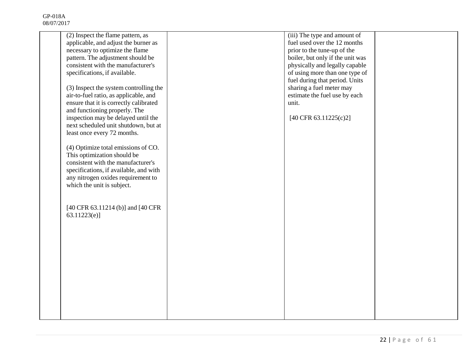| (2) Inspect the flame pattern, as                                                    | (iii) The type and amount of     |  |
|--------------------------------------------------------------------------------------|----------------------------------|--|
| applicable, and adjust the burner as                                                 | fuel used over the 12 months     |  |
| necessary to optimize the flame                                                      | prior to the tune-up of the      |  |
| pattern. The adjustment should be                                                    | boiler, but only if the unit was |  |
| consistent with the manufacturer's                                                   | physically and legally capable   |  |
| specifications, if available.                                                        | of using more than one type of   |  |
|                                                                                      | fuel during that period. Units   |  |
| (3) Inspect the system controlling the                                               | sharing a fuel meter may         |  |
| air-to-fuel ratio, as applicable, and                                                | estimate the fuel use by each    |  |
| ensure that it is correctly calibrated                                               | unit.                            |  |
| and functioning properly. The                                                        |                                  |  |
| inspection may be delayed until the                                                  | [40 CFR 63.11225(c)2]            |  |
| next scheduled unit shutdown, but at                                                 |                                  |  |
| least once every 72 months.                                                          |                                  |  |
|                                                                                      |                                  |  |
| (4) Optimize total emissions of CO.                                                  |                                  |  |
| This optimization should be                                                          |                                  |  |
| consistent with the manufacturer's                                                   |                                  |  |
| specifications, if available, and with                                               |                                  |  |
| any nitrogen oxides requirement to                                                   |                                  |  |
| which the unit is subject.                                                           |                                  |  |
|                                                                                      |                                  |  |
|                                                                                      |                                  |  |
| $[40 \text{ CFR } 63.11214 \text{ (b)}]$ and $[40 \text{ CFR } 3.11214 \text{ (c)}]$ |                                  |  |
| 63.11223(e)                                                                          |                                  |  |
|                                                                                      |                                  |  |
|                                                                                      |                                  |  |
|                                                                                      |                                  |  |
|                                                                                      |                                  |  |
|                                                                                      |                                  |  |
|                                                                                      |                                  |  |
|                                                                                      |                                  |  |
|                                                                                      |                                  |  |
|                                                                                      |                                  |  |
|                                                                                      |                                  |  |
|                                                                                      |                                  |  |
|                                                                                      |                                  |  |
|                                                                                      |                                  |  |
|                                                                                      |                                  |  |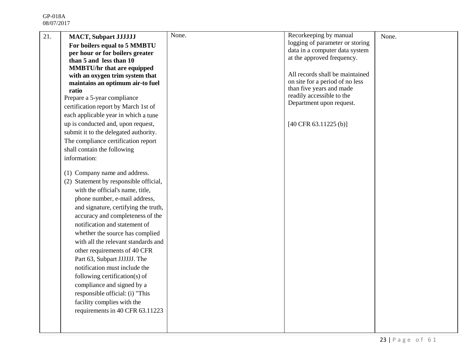| 21. | <b>MACT, Subpart JJJJJJJ</b>              | None. | Recorkeeping by manual                                             | None. |
|-----|-------------------------------------------|-------|--------------------------------------------------------------------|-------|
|     | For boilers equal to 5 MMBTU              |       | logging of parameter or storing                                    |       |
|     | per hour or for boilers greater           |       | data in a computer data system                                     |       |
|     | than 5 and less than 10                   |       | at the approved frequency.                                         |       |
|     | <b>MMBTU/hr that are equipped</b>         |       |                                                                    |       |
|     | with an oxygen trim system that           |       | All records shall be maintained<br>on site for a period of no less |       |
|     | maintains an optimum air-to fuel<br>ratio |       | than five years and made                                           |       |
|     | Prepare a 5-year compliance               |       | readily accessible to the                                          |       |
|     | certification report by March 1st of      |       | Department upon request.                                           |       |
|     | each applicable year in which a tune      |       |                                                                    |       |
|     | up is conducted and, upon request,        |       | $[40 \text{ CFR } 63.11225 \text{ (b)}]$                           |       |
|     | submit it to the delegated authority.     |       |                                                                    |       |
|     | The compliance certification report       |       |                                                                    |       |
|     | shall contain the following               |       |                                                                    |       |
|     | information:                              |       |                                                                    |       |
|     |                                           |       |                                                                    |       |
|     | (1) Company name and address.             |       |                                                                    |       |
|     | (2) Statement by responsible official,    |       |                                                                    |       |
|     | with the official's name, title,          |       |                                                                    |       |
|     | phone number, e-mail address,             |       |                                                                    |       |
|     | and signature, certifying the truth,      |       |                                                                    |       |
|     | accuracy and completeness of the          |       |                                                                    |       |
|     | notification and statement of             |       |                                                                    |       |
|     | whether the source has complied           |       |                                                                    |       |
|     | with all the relevant standards and       |       |                                                                    |       |
|     | other requirements of 40 CFR              |       |                                                                    |       |
|     | Part 63, Subpart JJJJJJ. The              |       |                                                                    |       |
|     | notification must include the             |       |                                                                    |       |
|     | following certification(s) of             |       |                                                                    |       |
|     | compliance and signed by a                |       |                                                                    |       |
|     | responsible official: (i) "This           |       |                                                                    |       |
|     | facility complies with the                |       |                                                                    |       |
|     | requirements in 40 CFR 63.11223           |       |                                                                    |       |
|     |                                           |       |                                                                    |       |
|     |                                           |       |                                                                    |       |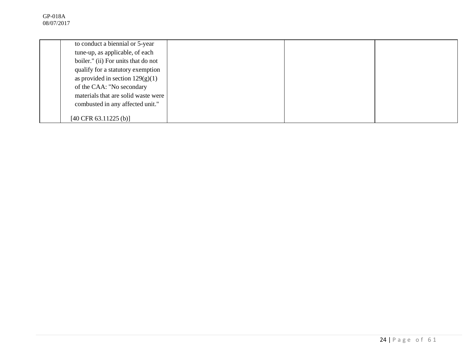| to conduct a biennial or 5-year          |  |  |
|------------------------------------------|--|--|
| tune-up, as applicable, of each          |  |  |
| boiler." (ii) For units that do not      |  |  |
| qualify for a statutory exemption        |  |  |
| as provided in section $129(g)(1)$       |  |  |
| of the CAA: "No secondary                |  |  |
| materials that are solid waste were      |  |  |
| combusted in any affected unit."         |  |  |
|                                          |  |  |
| $[40 \text{ CFR } 63.11225 \text{ (b)}]$ |  |  |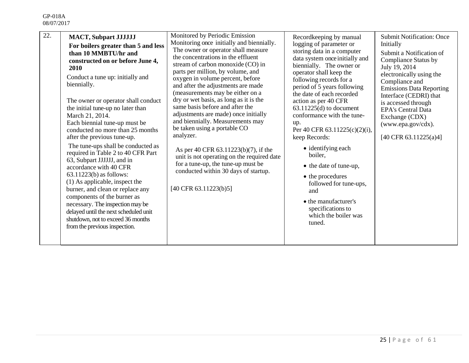| 22.<br><b>MACT, Subpart JJJJJJJ</b><br>For boilers greater than 5 and less<br>than 10 MMBTU/hr and<br>constructed on or before June 4,<br><b>2010</b><br>Conduct a tune up: initially and<br>biennially.<br>The owner or operator shall conduct<br>the initial tune-up no later than<br>March 21, 2014.<br>Each biennial tune-up must be<br>conducted no more than 25 months<br>after the previous tune-up.<br>The tune-ups shall be conducted as<br>required in Table 2 to 40 CFR Part<br>63, Subpart JJJJJJ, and in<br>accordance with 40 CFR<br>$63.11223(b)$ as follows:<br>(1) As applicable, inspect the<br>burner, and clean or replace any<br>components of the burner as<br>necessary. The inspection may be<br>delayed until the next scheduled unit<br>shutdown, not to exceed 36 months<br>from the previous inspection. | Monitored by Periodic Emission<br>Monitoring once initially and biennially.<br>The owner or operator shall measure<br>the concentrations in the effluent<br>stream of carbon monoxide (CO) in<br>parts per million, by volume, and<br>oxygen in volume percent, before<br>and after the adjustments are made<br>(measurements may be either on a<br>dry or wet basis, as long as it is the<br>same basis before and after the<br>adjustments are made) once initially<br>and biennially. Measurements may<br>be taken using a portable CO<br>analyzer.<br>As per 40 CFR 63.11223(b)(7), if the<br>unit is not operating on the required date<br>for a tune-up, the tune-up must be<br>conducted within 30 days of startup.<br>$[40 \text{ CFR } 63.11223(b)5]$ | Recordkeeping by manual<br>logging of parameter or<br>storing data in a computer<br>data system once initially and<br>biennially. The owner or<br>operator shall keep the<br>following records for a<br>period of 5 years following<br>the date of each recorded<br>action as per 40 CFR<br>$63.11225(d)$ to document<br>conformance with the tune-<br>up.<br>Per 40 CFR 63.11225(c)(2)(i),<br>keep Records:<br>• identifying each<br>boiler,<br>• the date of tune-up,<br>• the procedures<br>followed for tune-ups,<br>and<br>• the manufacturer's<br>specifications to<br>which the boiler was<br>tuned. | <b>Submit Notification: Once</b><br>Initially<br>Submit a Notification of<br>Compliance Status by<br>July 19, 2014<br>electronically using the<br>Compliance and<br><b>Emissions Data Reporting</b><br>Interface (CEDRI) that<br>is accessed through<br><b>EPA's Central Data</b><br>Exchange (CDX)<br>(www.epa.gov/cdx).<br>$[40 \text{ CFR } 63.11225(a)4]$ |
|--------------------------------------------------------------------------------------------------------------------------------------------------------------------------------------------------------------------------------------------------------------------------------------------------------------------------------------------------------------------------------------------------------------------------------------------------------------------------------------------------------------------------------------------------------------------------------------------------------------------------------------------------------------------------------------------------------------------------------------------------------------------------------------------------------------------------------------|----------------------------------------------------------------------------------------------------------------------------------------------------------------------------------------------------------------------------------------------------------------------------------------------------------------------------------------------------------------------------------------------------------------------------------------------------------------------------------------------------------------------------------------------------------------------------------------------------------------------------------------------------------------------------------------------------------------------------------------------------------------|-------------------------------------------------------------------------------------------------------------------------------------------------------------------------------------------------------------------------------------------------------------------------------------------------------------------------------------------------------------------------------------------------------------------------------------------------------------------------------------------------------------------------------------------------------------------------------------------------------------|---------------------------------------------------------------------------------------------------------------------------------------------------------------------------------------------------------------------------------------------------------------------------------------------------------------------------------------------------------------|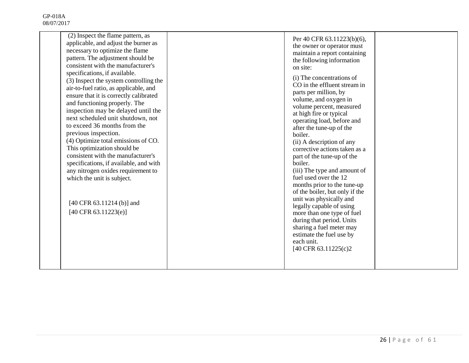| (2) Inspect the flame pattern, as<br>applicable, and adjust the burner as<br>necessary to optimize the flame<br>pattern. The adjustment should be<br>consistent with the manufacturer's<br>specifications, if available.<br>(3) Inspect the system controlling the<br>air-to-fuel ratio, as applicable, and<br>ensure that it is correctly calibrated<br>and functioning properly. The<br>inspection may be delayed until the<br>next scheduled unit shutdown, not<br>to exceed 36 months from the<br>previous inspection.<br>(4) Optimize total emissions of CO.<br>This optimization should be<br>consistent with the manufacturer's<br>specifications, if available, and with<br>any nitrogen oxides requirement to<br>which the unit is subject.<br>[40 CFR 63.11214 (b)] and<br>$[40 \text{ CFR } 63.11223(e)]$ | Per 40 CFR 63.11223(b)(6),<br>the owner or operator must<br>maintain a report containing<br>the following information<br>on site:<br>(i) The concentrations of<br>CO in the effluent stream in<br>parts per million, by<br>volume, and oxygen in<br>volume percent, measured<br>at high fire or typical<br>operating load, before and<br>after the tune-up of the<br>boiler.<br>(ii) A description of any<br>corrective actions taken as a<br>part of the tune-up of the<br>boiler.<br>(iii) The type and amount of<br>fuel used over the 12<br>months prior to the tune-up<br>of the boiler, but only if the<br>unit was physically and<br>legally capable of using<br>more than one type of fuel<br>during that period. Units<br>sharing a fuel meter may<br>estimate the fuel use by<br>each unit.<br>[40 CFR 63.11225(c)2 |  |
|----------------------------------------------------------------------------------------------------------------------------------------------------------------------------------------------------------------------------------------------------------------------------------------------------------------------------------------------------------------------------------------------------------------------------------------------------------------------------------------------------------------------------------------------------------------------------------------------------------------------------------------------------------------------------------------------------------------------------------------------------------------------------------------------------------------------|-------------------------------------------------------------------------------------------------------------------------------------------------------------------------------------------------------------------------------------------------------------------------------------------------------------------------------------------------------------------------------------------------------------------------------------------------------------------------------------------------------------------------------------------------------------------------------------------------------------------------------------------------------------------------------------------------------------------------------------------------------------------------------------------------------------------------------|--|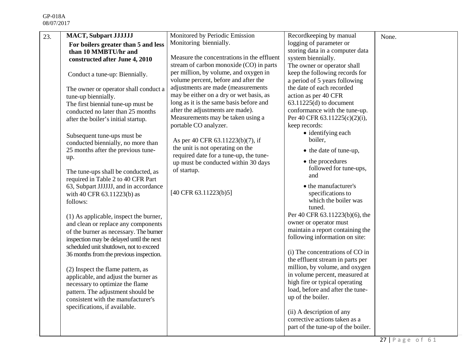| 23. | <b>MACT, Subpart JJJJJJ</b>               | Monitored by Periodic Emission                                             | Recordkeeping by manual            | None. |
|-----|-------------------------------------------|----------------------------------------------------------------------------|------------------------------------|-------|
|     | For boilers greater than 5 and less       | Monitoring biennially.                                                     | logging of parameter or            |       |
|     | than 10 MMBTU/hr and                      |                                                                            | storing data in a computer data    |       |
|     | constructed after June 4, 2010            | Measure the concentrations in the effluent                                 | system biennially.                 |       |
|     |                                           | stream of carbon monoxide (CO) in parts                                    | The owner or operator shall        |       |
|     | Conduct a tune-up: Biennially.            | per million, by volume, and oxygen in                                      | keep the following records for     |       |
|     |                                           | volume percent, before and after the                                       | a period of 5 years following      |       |
|     | The owner or operator shall conduct a     | adjustments are made (measurements                                         | the date of each recorded          |       |
|     | tune-up biennially.                       | may be either on a dry or wet basis, as                                    | action as per 40 CFR               |       |
|     | The first biennial tune-up must be        | long as it is the same basis before and                                    | $63.11225(d)$ to document          |       |
|     | conducted no later than 25 months         | after the adjustments are made).                                           | conformance with the tune-up.      |       |
|     | after the boiler's initial startup.       | Measurements may be taken using a                                          | Per 40 CFR 63.11225(c)(2)(i),      |       |
|     |                                           | portable CO analyzer.                                                      | keep records:                      |       |
|     | Subsequent tune-ups must be               |                                                                            | • identifying each                 |       |
|     | conducted biennially, no more than        | As per 40 CFR 63.11223(b)(7), if                                           | boiler,                            |       |
|     | 25 months after the previous tune-<br>up. | the unit is not operating on the<br>required date for a tune-up, the tune- | • the date of tune-up,             |       |
|     |                                           | up must be conducted within 30 days                                        | • the procedures                   |       |
|     | The tune-ups shall be conducted, as       | of startup.                                                                | followed for tune-ups,             |       |
|     | required in Table 2 to 40 CFR Part        |                                                                            | and                                |       |
|     | 63, Subpart JJJJJJ, and in accordance     |                                                                            | • the manufacturer's               |       |
|     | with 40 CFR 63.11223(b) as                | [40 CFR 63.11223(b)5]                                                      | specifications to                  |       |
|     | follows:                                  |                                                                            | which the boiler was               |       |
|     |                                           |                                                                            | tuned.                             |       |
|     | (1) As applicable, inspect the burner,    |                                                                            | Per 40 CFR 63.11223(b)(6), the     |       |
|     | and clean or replace any components       |                                                                            | owner or operator must             |       |
|     | of the burner as necessary. The burner    |                                                                            | maintain a report containing the   |       |
|     | inspection may be delayed until the next  |                                                                            | following information on site:     |       |
|     | scheduled unit shutdown, not to exceed    |                                                                            |                                    |       |
|     | 36 months from the previous inspection.   |                                                                            | (i) The concentrations of CO in    |       |
|     |                                           |                                                                            | the effluent stream in parts per   |       |
|     | (2) Inspect the flame pattern, as         |                                                                            | million, by volume, and oxygen     |       |
|     | applicable, and adjust the burner as      |                                                                            | in volume percent, measured at     |       |
|     | necessary to optimize the flame           |                                                                            | high fire or typical operating     |       |
|     | pattern. The adjustment should be         |                                                                            | load, before and after the tune-   |       |
|     | consistent with the manufacturer's        |                                                                            | up of the boiler.                  |       |
|     | specifications, if available.             |                                                                            |                                    |       |
|     |                                           |                                                                            | (ii) A description of any          |       |
|     |                                           |                                                                            | corrective actions taken as a      |       |
|     |                                           |                                                                            | part of the tune-up of the boiler. |       |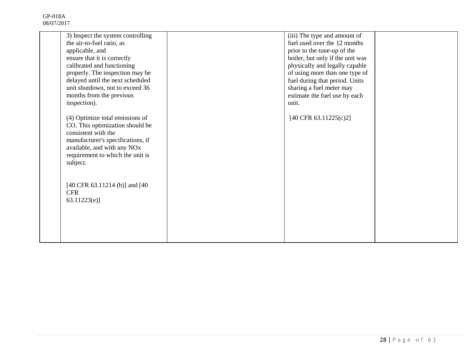| 3) Inspect the system controlling<br>the air-to-fuel ratio, as<br>applicable, and<br>ensure that it is correctly<br>calibrated and functioning<br>properly. The inspection may be<br>delayed until the next scheduled<br>unit shutdown, not to exceed 36<br>months from the previous | (iii) The type and amount of<br>fuel used over the 12 months<br>prior to the tune-up of the<br>boiler, but only if the unit was<br>physically and legally capable<br>of using more than one type of<br>fuel during that period. Units<br>sharing a fuel meter may<br>estimate the fuel use by each |  |
|--------------------------------------------------------------------------------------------------------------------------------------------------------------------------------------------------------------------------------------------------------------------------------------|----------------------------------------------------------------------------------------------------------------------------------------------------------------------------------------------------------------------------------------------------------------------------------------------------|--|
| inspection).<br>(4) Optimize total emissions of<br>CO. This optimization should be<br>consistent with the<br>manufacturer's specifications, if<br>available, and with any NOx<br>requirement to which the unit is<br>subject.                                                        | unit.<br>$[40 \text{ CFR } 63.11225(c)2]$                                                                                                                                                                                                                                                          |  |
| $[40 \text{ CFR } 63.11214 \text{ (b)}]$ and $[40 \text{ } 63.11214 \text{ (c)}]$<br><b>CFR</b><br>63.11223(e)                                                                                                                                                                       |                                                                                                                                                                                                                                                                                                    |  |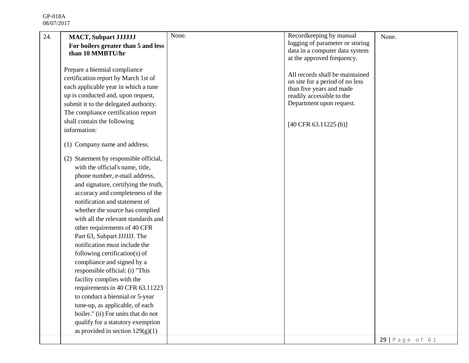| 24. | <b>MACT, Subpart JJJJJJJ</b>           | None. | Recordkeeping by manual                  | None.           |
|-----|----------------------------------------|-------|------------------------------------------|-----------------|
|     | For boilers greater than 5 and less    |       | logging of parameter or storing          |                 |
|     | than 10 MMBTU/hr                       |       | data in a computer data system           |                 |
|     |                                        |       | at the approved frequency.               |                 |
|     | Prepare a biennial compliance          |       | All records shall be maintained          |                 |
|     | certification report by March 1st of   |       | on site for a period of no less          |                 |
|     | each applicable year in which a tune   |       | than five years and made                 |                 |
|     | up is conducted and, upon request,     |       | readily accessible to the                |                 |
|     | submit it to the delegated authority.  |       | Department upon request.                 |                 |
|     | The compliance certification report    |       |                                          |                 |
|     | shall contain the following            |       | $[40 \text{ CFR } 63.11225 \text{ (b)}]$ |                 |
|     | information:                           |       |                                          |                 |
|     | (1) Company name and address.          |       |                                          |                 |
|     | (2) Statement by responsible official, |       |                                          |                 |
|     | with the official's name, title,       |       |                                          |                 |
|     | phone number, e-mail address,          |       |                                          |                 |
|     | and signature, certifying the truth,   |       |                                          |                 |
|     | accuracy and completeness of the       |       |                                          |                 |
|     | notification and statement of          |       |                                          |                 |
|     | whether the source has complied        |       |                                          |                 |
|     | with all the relevant standards and    |       |                                          |                 |
|     | other requirements of 40 CFR           |       |                                          |                 |
|     | Part 63, Subpart JJJJJJ. The           |       |                                          |                 |
|     | notification must include the          |       |                                          |                 |
|     | following certification(s) of          |       |                                          |                 |
|     | compliance and signed by a             |       |                                          |                 |
|     | responsible official: (i) "This        |       |                                          |                 |
|     | facility complies with the             |       |                                          |                 |
|     | requirements in 40 CFR 63.11223        |       |                                          |                 |
|     | to conduct a biennial or 5-year        |       |                                          |                 |
|     | tune-up, as applicable, of each        |       |                                          |                 |
|     | boiler." (ii) For units that do not    |       |                                          |                 |
|     | qualify for a statutory exemption      |       |                                          |                 |
|     | as provided in section $129(g)(1)$     |       |                                          |                 |
|     |                                        |       |                                          | 29   Page of 61 |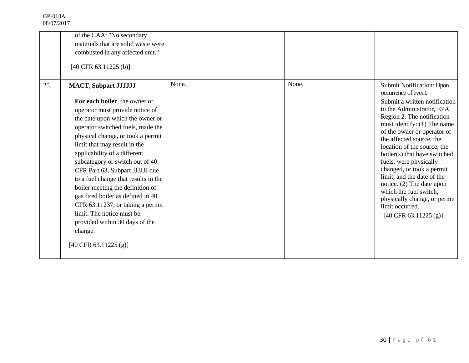|     | of the CAA: "No secondary<br>materials that are solid waste were<br>combusted in any affected unit."<br>$[40 \text{ CFR } 63.11225 \text{ (b)}]$                                                                                                                                                                                                                                                                                                                                                                                                                                                                                |       |       |                                                                                                                                                                                                                                                                                                                                                                                                                                                                                                                                                   |
|-----|---------------------------------------------------------------------------------------------------------------------------------------------------------------------------------------------------------------------------------------------------------------------------------------------------------------------------------------------------------------------------------------------------------------------------------------------------------------------------------------------------------------------------------------------------------------------------------------------------------------------------------|-------|-------|---------------------------------------------------------------------------------------------------------------------------------------------------------------------------------------------------------------------------------------------------------------------------------------------------------------------------------------------------------------------------------------------------------------------------------------------------------------------------------------------------------------------------------------------------|
| 25. | <b>MACT, Subpart JJJJJJJ</b><br>For each boiler, the owner or<br>operator must provide notice of<br>the date upon which the owner or<br>operator switched fuels, made the<br>physical change, or took a permit<br>limit that may result in the<br>applicability of a different<br>subcategory or switch out of 40<br>CFR Part 63, Subpart JJJJJJ due<br>to a fuel change that results in the<br>boiler meeting the definition of<br>gas fired boiler as defined in 40<br>CFR 63.11237, or taking a permit<br>limit. The notice must be<br>provided within 30 days of the<br>change.<br>$[40 \text{ CFR } 63.11225 \text{ (g)}]$ | None. | None. | Submit Notification: Upon<br>occurrence of event.<br>Submit a written notification<br>to the Administrator, EPA<br>Region 2. The notification<br>must identify: (1) The name<br>of the owner or operator of<br>the affected source, the<br>location of the source, the<br>boiler(s) that have switched<br>fuels, were physically<br>changed, or took a permit<br>limit, and the date of the<br>notice. (2) The date upon<br>which the fuel switch,<br>physically change, or permit<br>limit occurred.<br>$[40 \text{ CFR } 63.11225 \text{ (g)}]$ |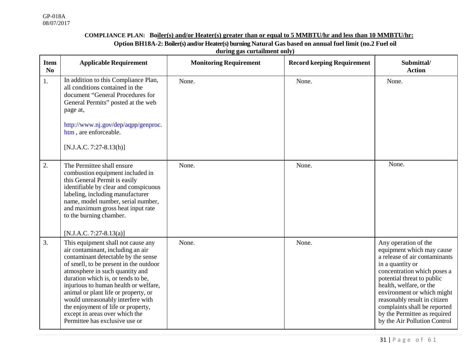### **COMPLIANCE PLAN: Boiler(s) and/or Heater(s) greater than or equal to 5 MMBTU/hr and less than 10 MMBTU/hr:**

**Option BH18A-2: Boiler(s) and/or Heater(s) burning Natural Gas based on annual fuel limit (no.2 Fuel oil**

|  | during gas curtailment only) |  |
|--|------------------------------|--|
|  |                              |  |
|  |                              |  |

| <b>Item</b><br>N <sub>0</sub> | <b>Applicable Requirement</b>                                                                                                                                                                                                                                                                                                                                                                                                                                     | <b>Monitoring Requirement</b> | <b>Record keeping Requirement</b> | Submittal/<br><b>Action</b>                                                                                                                                                                                                                                                                                                                                  |
|-------------------------------|-------------------------------------------------------------------------------------------------------------------------------------------------------------------------------------------------------------------------------------------------------------------------------------------------------------------------------------------------------------------------------------------------------------------------------------------------------------------|-------------------------------|-----------------------------------|--------------------------------------------------------------------------------------------------------------------------------------------------------------------------------------------------------------------------------------------------------------------------------------------------------------------------------------------------------------|
| 1.                            | In addition to this Compliance Plan,<br>all conditions contained in the<br>document "General Procedures for<br>General Permits" posted at the web<br>page at,<br>http://www.nj.gov/dep/aqpp/genproc.<br>htm, are enforceable.<br>$[N.J.A.C. 7:27-8.13(h)]$                                                                                                                                                                                                        | None.                         | None.                             | None.                                                                                                                                                                                                                                                                                                                                                        |
| 2.                            | The Permittee shall ensure<br>combustion equipment included in<br>this General Permit is easily<br>identifiable by clear and conspicuous<br>labeling, including manufacturer<br>name, model number, serial number,<br>and maximum gross heat input rate<br>to the burning chamber.<br>$[N.J.A.C. 7:27-8.13(a)]$                                                                                                                                                   | None.                         | None.                             | None.                                                                                                                                                                                                                                                                                                                                                        |
| 3.                            | This equipment shall not cause any<br>air contaminant, including an air<br>contaminant detectable by the sense<br>of smell, to be present in the outdoor<br>atmosphere in such quantity and<br>duration which is, or tends to be,<br>injurious to human health or welfare,<br>animal or plant life or property, or<br>would unreasonably interfere with<br>the enjoyment of life or property,<br>except in areas over which the<br>Permittee has exclusive use or | None.                         | None.                             | Any operation of the<br>equipment which may cause<br>a release of air contaminants<br>in a quantity or<br>concentration which poses a<br>potential threat to public<br>health, welfare, or the<br>environment or which might<br>reasonably result in citizen<br>complaints shall be reported<br>by the Permittee as required<br>by the Air Pollution Control |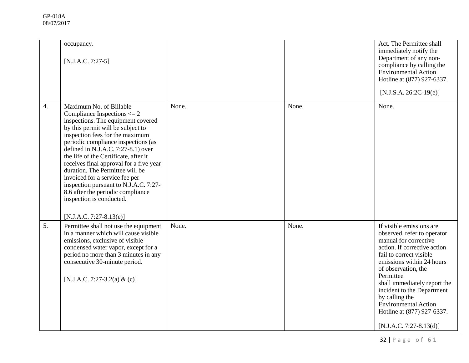|                  | occupancy.<br>$[N.J.A.C. 7:27-5]$                                                                                                                                                                                                                                                                                                                                                                                                                                                                                                                        |       |       | Act. The Permittee shall<br>immediately notify the<br>Department of any non-<br>compliance by calling the<br><b>Environmental Action</b><br>Hotline at (877) 927-6337.<br>$[N.J.S.A. 26:2C-19(e)]$                                                                                                                                                                                     |
|------------------|----------------------------------------------------------------------------------------------------------------------------------------------------------------------------------------------------------------------------------------------------------------------------------------------------------------------------------------------------------------------------------------------------------------------------------------------------------------------------------------------------------------------------------------------------------|-------|-------|----------------------------------------------------------------------------------------------------------------------------------------------------------------------------------------------------------------------------------------------------------------------------------------------------------------------------------------------------------------------------------------|
| $\overline{4}$ . | Maximum No. of Billable<br>Compliance Inspections $\leq$ 2<br>inspections. The equipment covered<br>by this permit will be subject to<br>inspection fees for the maximum<br>periodic compliance inspections (as<br>defined in N.J.A.C. $7:27-8.1$ ) over<br>the life of the Certificate, after it<br>receives final approval for a five year<br>duration. The Permittee will be<br>invoiced for a service fee per<br>inspection pursuant to N.J.A.C. 7:27-<br>8.6 after the periodic compliance<br>inspection is conducted.<br>$[N.J.A.C. 7:27-8.13(e)]$ | None. | None. | None.                                                                                                                                                                                                                                                                                                                                                                                  |
| 5.               | Permittee shall not use the equipment<br>in a manner which will cause visible<br>emissions, exclusive of visible<br>condensed water vapor, except for a<br>period no more than 3 minutes in any<br>consecutive 30-minute period.<br>[N.J.A.C. 7:27-3.2(a) & (c)]                                                                                                                                                                                                                                                                                         | None. | None. | If visible emissions are<br>observed, refer to operator<br>manual for corrective<br>action. If corrective action<br>fail to correct visible<br>emissions within 24 hours<br>of observation, the<br>Permittee<br>shall immediately report the<br>incident to the Department<br>by calling the<br><b>Environmental Action</b><br>Hotline at (877) 927-6337.<br>$[N.J.A.C. 7:27-8.13(d)]$ |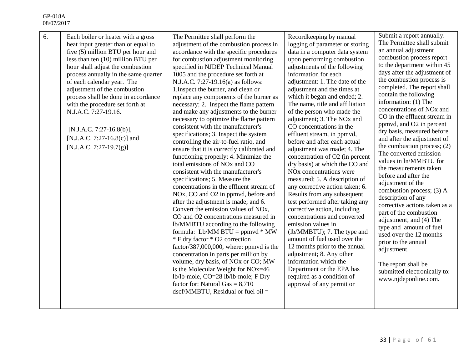| 6. | Each boiler or heater with a gross<br>heat input greater than or equal to<br>five (5) million BTU per hour and<br>less than ten (10) million BTU per<br>hour shall adjust the combustion<br>process annually in the same quarter<br>of each calendar year. The<br>adjustment of the combustion<br>process shall be done in accordance<br>with the procedure set forth at<br>N.J.A.C. 7:27-19.16.<br>[N.J.A.C. 7:27-16.8(b)],<br>[N.J.A.C. 7:27-16.8(c)] and<br>[N.J.A.C. 7:27-19.7(g)] | The Permittee shall perform the<br>adjustment of the combustion process in<br>accordance with the specific procedures<br>for combustion adjustment monitoring<br>specified in NJDEP Technical Manual<br>1005 and the procedure set forth at<br>N.J.A.C. 7:27-19.16(a) as follows:<br>1. Inspect the burner, and clean or<br>replace any components of the burner as<br>necessary; 2. Inspect the flame pattern<br>and make any adjustments to the burner<br>necessary to optimize the flame pattern<br>consistent with the manufacturer's<br>specifications; 3. Inspect the system<br>controlling the air-to-fuel ratio, and<br>ensure that it is correctly calibrated and<br>functioning properly; 4. Minimize the<br>total emissions of NO <sub>x</sub> and CO<br>consistent with the manufacturer's<br>specifications; 5. Measure the<br>concentrations in the effluent stream of<br>NO <sub>x</sub> , CO and O <sub>2</sub> in ppmvd, before and<br>after the adjustment is made; and 6.<br>Convert the emission values of NOx,<br>CO and O2 concentrations measured in<br>lb/MMBTU according to the following<br>formula: Lb/MM BTU = $ppmvd * MW$<br>* F dry factor * O2 correction<br>factor/387,000,000, where: ppmvd is the<br>concentration in parts per million by<br>volume, dry basis, of NO <sub>x</sub> or CO; MW<br>is the Molecular Weight for NOx=46<br>lb/lb-mole, CO=28 lb/lb-mole; F Dry<br>factor for: Natural Gas $= 8,710$<br>$dscf/MMBTU$ , Residual or fuel oil = | Recordkeeping by manual<br>logging of parameter or storing<br>data in a computer data system<br>upon performing combustion<br>adjustments of the following<br>information for each<br>adjustment: 1. The date of the<br>adjustment and the times at<br>which it began and ended; 2.<br>The name, title and affiliation<br>of the person who made the<br>adjustment; 3. The NO <sub>x</sub> and<br>CO concentrations in the<br>effluent stream, in ppmvd,<br>before and after each actual<br>adjustment was made; 4. The<br>concentration of O2 (in percent<br>dry basis) at which the CO and<br>NO <sub>x</sub> concentrations were<br>measured; 5. A description of<br>any corrective action taken; 6.<br>Results from any subsequent<br>test performed after taking any<br>corrective action, including<br>concentrations and converted<br>emission values in<br>(lb/MMBTU); 7. The type and<br>amount of fuel used over the<br>12 months prior to the annual<br>adjustment; 8. Any other<br>information which the<br>Department or the EPA has<br>required as a condition of<br>approval of any permit or | Submit a report annually.<br>The Permittee shall submit<br>an annual adjustment<br>combustion process report<br>to the department within 45<br>days after the adjustment of<br>the combustion process is<br>completed. The report shall<br>contain the following<br>information: (1) The<br>concentrations of NO <sub>x</sub> and<br>CO in the effluent stream in<br>ppmvd, and O2 in percent<br>dry basis, measured before<br>and after the adjustment of<br>the combustion process; (2)<br>The converted emission<br>values in ln/MMBTU for<br>the measurements taken<br>before and after the<br>adjustment of the<br>combustion process; (3) A<br>description of any<br>corrective actions taken as a<br>part of the combustion<br>adjustment; and (4) The<br>type and amount of fuel<br>used over the 12 months<br>prior to the annual<br>adjustment.<br>The report shall be<br>submitted electronically to:<br>www.njdeponline.com. |
|----|----------------------------------------------------------------------------------------------------------------------------------------------------------------------------------------------------------------------------------------------------------------------------------------------------------------------------------------------------------------------------------------------------------------------------------------------------------------------------------------|---------------------------------------------------------------------------------------------------------------------------------------------------------------------------------------------------------------------------------------------------------------------------------------------------------------------------------------------------------------------------------------------------------------------------------------------------------------------------------------------------------------------------------------------------------------------------------------------------------------------------------------------------------------------------------------------------------------------------------------------------------------------------------------------------------------------------------------------------------------------------------------------------------------------------------------------------------------------------------------------------------------------------------------------------------------------------------------------------------------------------------------------------------------------------------------------------------------------------------------------------------------------------------------------------------------------------------------------------------------------------------------------------------------------------------------------------------------------------------------------|--------------------------------------------------------------------------------------------------------------------------------------------------------------------------------------------------------------------------------------------------------------------------------------------------------------------------------------------------------------------------------------------------------------------------------------------------------------------------------------------------------------------------------------------------------------------------------------------------------------------------------------------------------------------------------------------------------------------------------------------------------------------------------------------------------------------------------------------------------------------------------------------------------------------------------------------------------------------------------------------------------------------------------------------------------------------------------------------------------------|------------------------------------------------------------------------------------------------------------------------------------------------------------------------------------------------------------------------------------------------------------------------------------------------------------------------------------------------------------------------------------------------------------------------------------------------------------------------------------------------------------------------------------------------------------------------------------------------------------------------------------------------------------------------------------------------------------------------------------------------------------------------------------------------------------------------------------------------------------------------------------------------------------------------------------------|
|----|----------------------------------------------------------------------------------------------------------------------------------------------------------------------------------------------------------------------------------------------------------------------------------------------------------------------------------------------------------------------------------------------------------------------------------------------------------------------------------------|---------------------------------------------------------------------------------------------------------------------------------------------------------------------------------------------------------------------------------------------------------------------------------------------------------------------------------------------------------------------------------------------------------------------------------------------------------------------------------------------------------------------------------------------------------------------------------------------------------------------------------------------------------------------------------------------------------------------------------------------------------------------------------------------------------------------------------------------------------------------------------------------------------------------------------------------------------------------------------------------------------------------------------------------------------------------------------------------------------------------------------------------------------------------------------------------------------------------------------------------------------------------------------------------------------------------------------------------------------------------------------------------------------------------------------------------------------------------------------------------|--------------------------------------------------------------------------------------------------------------------------------------------------------------------------------------------------------------------------------------------------------------------------------------------------------------------------------------------------------------------------------------------------------------------------------------------------------------------------------------------------------------------------------------------------------------------------------------------------------------------------------------------------------------------------------------------------------------------------------------------------------------------------------------------------------------------------------------------------------------------------------------------------------------------------------------------------------------------------------------------------------------------------------------------------------------------------------------------------------------|------------------------------------------------------------------------------------------------------------------------------------------------------------------------------------------------------------------------------------------------------------------------------------------------------------------------------------------------------------------------------------------------------------------------------------------------------------------------------------------------------------------------------------------------------------------------------------------------------------------------------------------------------------------------------------------------------------------------------------------------------------------------------------------------------------------------------------------------------------------------------------------------------------------------------------------|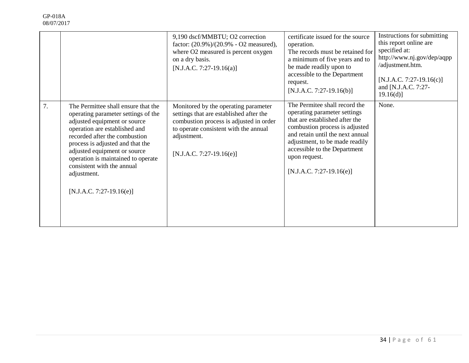|    |                                                                                                                                                                                                                                                                                                                                                                   | 9,190 dscf/MMBTU; O2 correction<br>factor: $(20.9\%)/(20.9\% - O2$ measured),<br>where O2 measured is percent oxygen<br>on a dry basis.<br>$[N.J.A.C. 7:27-19.16(a)]$                                            | certificate issued for the source<br>operation.<br>The records must be retained for<br>a minimum of five years and to<br>be made readily upon to<br>accessible to the Department<br>request.<br>$[N.J.A.C. 7:27-19.16(b)]$                                                             | Instructions for submitting<br>this report online are<br>specified at:<br>http://www.nj.gov/dep/aqpp<br>/adjustment.htm.<br>$[N.J.A.C. 7:27-19.16(c)]$<br>and [N.J.A.C. 7:27-<br>19.16(d) |
|----|-------------------------------------------------------------------------------------------------------------------------------------------------------------------------------------------------------------------------------------------------------------------------------------------------------------------------------------------------------------------|------------------------------------------------------------------------------------------------------------------------------------------------------------------------------------------------------------------|----------------------------------------------------------------------------------------------------------------------------------------------------------------------------------------------------------------------------------------------------------------------------------------|-------------------------------------------------------------------------------------------------------------------------------------------------------------------------------------------|
| 7. | The Permittee shall ensure that the<br>operating parameter settings of the<br>adjusted equipment or source<br>operation are established and<br>recorded after the combustion<br>process is adjusted and that the<br>adjusted equipment or source<br>operation is maintained to operate<br>consistent with the annual<br>adjustment.<br>$[N.J.A.C. 7:27-19.16(e)]$ | Monitored by the operating parameter<br>settings that are established after the<br>combustion process is adjusted in order<br>to operate consistent with the annual<br>adjustment.<br>$[N.J.A.C. 7:27-19.16(e)]$ | The Permitee shall record the<br>operating parameter settings<br>that are established after the<br>combustion process is adjusted<br>and retain until the next annual<br>adjustment, to be made readily<br>accessible to the Department<br>upon request.<br>$[N.J.A.C. 7:27-19.16(e)]$ | None.                                                                                                                                                                                     |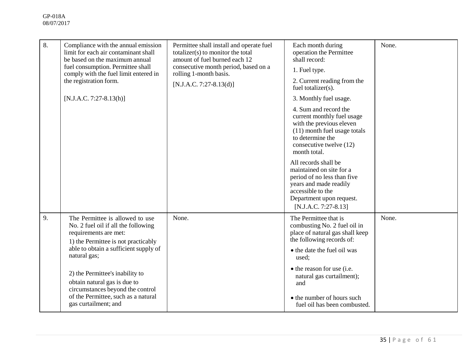| 8. | Compliance with the annual emission<br>limit for each air contaminant shall<br>be based on the maximum annual<br>fuel consumption. Permittee shall<br>comply with the fuel limit entered in<br>the registration form.<br>$[N.J.A.C. 7:27-8.13(h)]$                                                                                                                    | Permittee shall install and operate fuel<br>totalizer(s) to monitor the total<br>amount of fuel burned each 12<br>consecutive month period, based on a<br>rolling 1-month basis.<br>$[N.J.A.C. 7:27-8.13(d)]$ | Each month during<br>operation the Permittee<br>shall record:<br>1. Fuel type.<br>2. Current reading from the<br>fuel totalizer(s).<br>3. Monthly fuel usage.<br>4. Sum and record the<br>current monthly fuel usage<br>with the previous eleven<br>(11) month fuel usage totals<br>to determine the<br>consecutive twelve (12)<br>month total.<br>All records shall be<br>maintained on site for a<br>period of no less than five<br>years and made readily<br>accessible to the<br>Department upon request.<br>[N.J.A.C. 7:27-8.13] | None. |
|----|-----------------------------------------------------------------------------------------------------------------------------------------------------------------------------------------------------------------------------------------------------------------------------------------------------------------------------------------------------------------------|---------------------------------------------------------------------------------------------------------------------------------------------------------------------------------------------------------------|---------------------------------------------------------------------------------------------------------------------------------------------------------------------------------------------------------------------------------------------------------------------------------------------------------------------------------------------------------------------------------------------------------------------------------------------------------------------------------------------------------------------------------------|-------|
| 9. | The Permittee is allowed to use<br>No. 2 fuel oil if all the following<br>requirements are met:<br>1) the Permittee is not practicably<br>able to obtain a sufficient supply of<br>natural gas;<br>2) the Permittee's inability to<br>obtain natural gas is due to<br>circumstances beyond the control<br>of the Permittee, such as a natural<br>gas curtailment; and | None.                                                                                                                                                                                                         | The Permittee that is<br>combusting No. 2 fuel oil in<br>place of natural gas shall keep<br>the following records of:<br>• the date the fuel oil was<br>used;<br>• the reason for use (i.e.<br>natural gas curtailment);<br>and<br>• the number of hours such<br>fuel oil has been combusted.                                                                                                                                                                                                                                         | None. |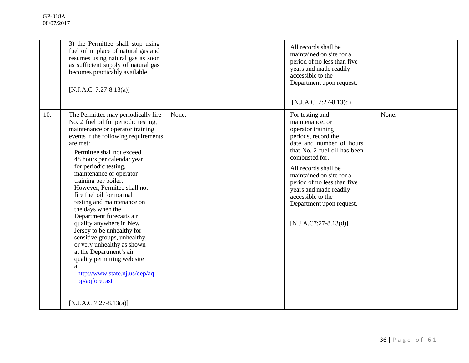| resumes using natural gas as soon<br>as sufficient supply of natural gas<br>becomes practicably available.<br>[N.J.A.C. 7:27-8.13(a)]                                                                                                                                                                                                                                                                                                                                                                                                                                                                                                                                                                                                      | years and made readily<br>accessible to the<br>Department upon request.<br>$[N.J.A.C. 7:27-8.13(d)]$                                                                                                                                                                                                                                                  |       |
|--------------------------------------------------------------------------------------------------------------------------------------------------------------------------------------------------------------------------------------------------------------------------------------------------------------------------------------------------------------------------------------------------------------------------------------------------------------------------------------------------------------------------------------------------------------------------------------------------------------------------------------------------------------------------------------------------------------------------------------------|-------------------------------------------------------------------------------------------------------------------------------------------------------------------------------------------------------------------------------------------------------------------------------------------------------------------------------------------------------|-------|
| 10.<br>The Permittee may periodically fire<br>None.<br>No. 2 fuel oil for periodic testing,<br>maintenance or operator training<br>events if the following requirements<br>are met:<br>Permittee shall not exceed<br>48 hours per calendar year<br>for periodic testing,<br>maintenance or operator<br>training per boiler.<br>However, Permitee shall not<br>fire fuel oil for normal<br>testing and maintenance on<br>the days when the<br>Department forecasts air<br>quality anywhere in New<br>Jersey to be unhealthy for<br>sensitive groups, unhealthy,<br>or very unhealthy as shown<br>at the Department's air<br>quality permitting web site<br>at<br>http://www.state.nj.us/dep/aq<br>pp/aqforecast<br>$[N.J.A.C.7:27-8.13(a)]$ | For testing and<br>maintenance, or<br>operator training<br>periods, record the<br>date and number of hours<br>that No. 2 fuel oil has been<br>combusted for.<br>All records shall be<br>maintained on site for a<br>period of no less than five<br>years and made readily<br>accessible to the<br>Department upon request.<br>$[N.J.A.C7:27-8.13(d)]$ | None. |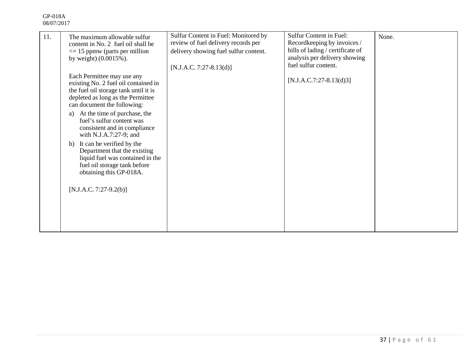| 11. | The maximum allowable sulfur<br>content in No. 2 fuel oil shall be<br>$\leq$ 15 ppmw (parts per million<br>by weight) $(0.0015\%)$ .<br>Each Permittee may use any<br>existing No. 2 fuel oil contained in | Sulfur Content in Fuel: Monitored by<br>review of fuel delivery records per<br>delivery showing fuel sulfur content.<br>$[N.J.A.C. 7:27-8.13(d)]$ | <b>Sulfur Content in Fuel:</b><br>Recordkeeping by invoices /<br>bills of lading / certificate of<br>analysis per delivery showing<br>fuel sulfur content.<br>$[N.J.A.C.7:27-8.13(d)3]$ | None. |
|-----|------------------------------------------------------------------------------------------------------------------------------------------------------------------------------------------------------------|---------------------------------------------------------------------------------------------------------------------------------------------------|-----------------------------------------------------------------------------------------------------------------------------------------------------------------------------------------|-------|
|     | the fuel oil storage tank until it is<br>depleted as long as the Permittee<br>can document the following:                                                                                                  |                                                                                                                                                   |                                                                                                                                                                                         |       |
|     | At the time of purchase, the<br>a)<br>fuel's sulfur content was<br>consistent and in compliance<br>with N.J.A.7:27-9; and                                                                                  |                                                                                                                                                   |                                                                                                                                                                                         |       |
|     | It can be verified by the<br>b)<br>Department that the existing<br>liquid fuel was contained in the<br>fuel oil storage tank before<br>obtaining this GP-018A.                                             |                                                                                                                                                   |                                                                                                                                                                                         |       |
|     | $[N.J.A.C. 7:27-9.2(b)]$                                                                                                                                                                                   |                                                                                                                                                   |                                                                                                                                                                                         |       |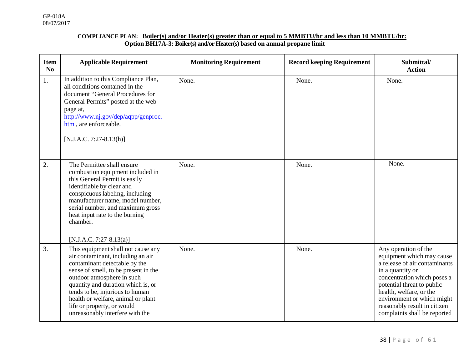#### **COMPLIANCE PLAN: Boiler(s) and/or Heater(s) greater than or equal to 5 MMBTU/hr and less than 10 MMBTU/hr: Option BH17A-3: Boiler(s) and/or Heater(s) based on annual propane limit**

| <b>Item</b><br>$\mathbf{N}\mathbf{0}$ | <b>Applicable Requirement</b>                                                                                                                                                                                                                                                                                                                                  | <b>Monitoring Requirement</b> | <b>Record keeping Requirement</b> | Submittal/<br><b>Action</b>                                                                                                                                                                                                                                                                  |
|---------------------------------------|----------------------------------------------------------------------------------------------------------------------------------------------------------------------------------------------------------------------------------------------------------------------------------------------------------------------------------------------------------------|-------------------------------|-----------------------------------|----------------------------------------------------------------------------------------------------------------------------------------------------------------------------------------------------------------------------------------------------------------------------------------------|
| 1.                                    | In addition to this Compliance Plan,<br>all conditions contained in the<br>document "General Procedures for<br>General Permits" posted at the web<br>page at,<br>http://www.nj.gov/dep/aqpp/genproc.<br>htm, are enforceable.<br>$[N.J.A.C. 7:27-8.13(h)]$                                                                                                     | None.                         | None.                             | None.                                                                                                                                                                                                                                                                                        |
| 2.                                    | The Permittee shall ensure<br>combustion equipment included in<br>this General Permit is easily<br>identifiable by clear and<br>conspicuous labeling, including<br>manufacturer name, model number,<br>serial number, and maximum gross<br>heat input rate to the burning<br>chamber.<br>[N.J.A.C. 7:27-8.13(a)]                                               | None.                         | None.                             | None.                                                                                                                                                                                                                                                                                        |
| $\overline{3}$ .                      | This equipment shall not cause any<br>air contaminant, including an air<br>contaminant detectable by the<br>sense of smell, to be present in the<br>outdoor atmosphere in such<br>quantity and duration which is, or<br>tends to be, injurious to human<br>health or welfare, animal or plant<br>life or property, or would<br>unreasonably interfere with the | None.                         | None.                             | Any operation of the<br>equipment which may cause<br>a release of air contaminants<br>in a quantity or<br>concentration which poses a<br>potential threat to public<br>health, welfare, or the<br>environment or which might<br>reasonably result in citizen<br>complaints shall be reported |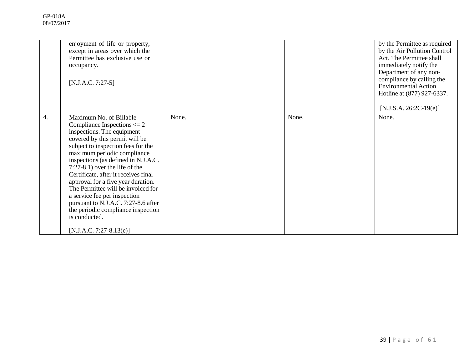|    | enjoyment of life or property,<br>except in areas over which the<br>Permittee has exclusive use or<br>occupancy.<br>$[N.J.A.C. 7:27-5]$                                                                                                                                                                                                                                                                                                                                                                                                                    |       |       | by the Permittee as required<br>by the Air Pollution Control<br>Act. The Permittee shall<br>immediately notify the<br>Department of any non-<br>compliance by calling the<br><b>Environmental Action</b><br>Hotline at (877) 927-6337.<br>$[N.J.S.A. 26:2C-19(e)]$ |
|----|------------------------------------------------------------------------------------------------------------------------------------------------------------------------------------------------------------------------------------------------------------------------------------------------------------------------------------------------------------------------------------------------------------------------------------------------------------------------------------------------------------------------------------------------------------|-------|-------|--------------------------------------------------------------------------------------------------------------------------------------------------------------------------------------------------------------------------------------------------------------------|
| 4. | Maximum No. of Billable<br>Compliance Inspections $\leq$ 2<br>inspections. The equipment<br>covered by this permit will be<br>subject to inspection fees for the<br>maximum periodic compliance<br>inspections (as defined in N.J.A.C.<br>$7:27-8.1$ ) over the life of the<br>Certificate, after it receives final<br>approval for a five year duration.<br>The Permittee will be invoiced for<br>a service fee per inspection<br>pursuant to N.J.A.C. 7:27-8.6 after<br>the periodic compliance inspection<br>is conducted.<br>$[N.J.A.C. 7:27-8.13(e)]$ | None. | None. | None.                                                                                                                                                                                                                                                              |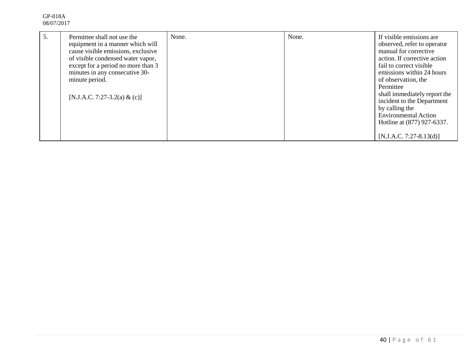| 5. | Permittee shall not use the<br>equipment in a manner which will<br>cause visible emissions, exclusive<br>of visible condensed water vapor,<br>except for a period no more than 3<br>minutes in any consecutive 30-<br>minute period.<br>[N.J.A.C. 7:27-3.2(a) & (c)] | None. | None. | If visible emissions are<br>observed, refer to operator<br>manual for corrective<br>action. If corrective action<br>fail to correct visible<br>emissions within 24 hours<br>of observation, the<br>Permittee<br>shall immediately report the<br>incident to the Department<br>by calling the<br><b>Environmental Action</b><br>Hotline at (877) 927-6337. |
|----|----------------------------------------------------------------------------------------------------------------------------------------------------------------------------------------------------------------------------------------------------------------------|-------|-------|-----------------------------------------------------------------------------------------------------------------------------------------------------------------------------------------------------------------------------------------------------------------------------------------------------------------------------------------------------------|
|    |                                                                                                                                                                                                                                                                      |       |       | $[N.J.A.C. 7:27-8.13(d)]$                                                                                                                                                                                                                                                                                                                                 |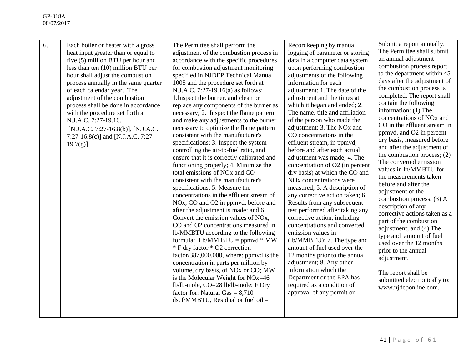| 6. | Each boiler or heater with a gross<br>heat input greater than or equal to<br>five (5) million BTU per hour and<br>less than ten (10) million BTU per<br>hour shall adjust the combustion<br>process annually in the same quarter<br>of each calendar year. The<br>adjustment of the combustion<br>process shall be done in accordance<br>with the procedure set forth at<br>N.J.A.C. 7:27-19.16.<br>[N.J.A.C. 7:27-16.8(b)], [N.J.A.C.<br>7:27-16.8(c)] and [N.J.A.C. 7:27-<br>$19.7(g)$ ] | The Permittee shall perform the<br>adjustment of the combustion process in<br>accordance with the specific procedures<br>for combustion adjustment monitoring<br>specified in NJDEP Technical Manual<br>1005 and the procedure set forth at<br>N.J.A.C. 7:27-19.16(a) as follows:<br>1. Inspect the burner, and clean or<br>replace any components of the burner as<br>necessary; 2. Inspect the flame pattern<br>and make any adjustments to the burner<br>necessary to optimize the flame pattern<br>consistent with the manufacturer's<br>specifications; 3. Inspect the system<br>controlling the air-to-fuel ratio, and<br>ensure that it is correctly calibrated and<br>functioning properly; 4. Minimize the<br>total emissions of NO <sub>x</sub> and CO<br>consistent with the manufacturer's<br>specifications; 5. Measure the<br>concentrations in the effluent stream of<br>NO <sub>x</sub> , CO and O <sub>2</sub> in ppmvd, before and<br>after the adjustment is made; and 6.<br>Convert the emission values of NO <sub>x</sub> ,<br>CO and O2 concentrations measured in<br>lb/MMBTU according to the following<br>formula: Lb/MM $BTU = ppmvd * MW$<br>* F dry factor * O2 correction<br>factor/387,000,000, where: ppmvd is the<br>concentration in parts per million by<br>volume, dry basis, of NOx or CO; MW<br>is the Molecular Weight for NOx=46<br>lb/lb-mole, CO=28 lb/lb-mole; F Dry<br>factor for: Natural Gas $= 8,710$<br>$dscf/MMBTU$ , Residual or fuel oil = | Recordkeeping by manual<br>logging of parameter or storing<br>data in a computer data system<br>upon performing combustion<br>adjustments of the following<br>information for each<br>adjustment: 1. The date of the<br>adjustment and the times at<br>which it began and ended; 2.<br>The name, title and affiliation<br>of the person who made the<br>adjustment; 3. The NO <sub>x</sub> and<br>CO concentrations in the<br>effluent stream, in ppmvd,<br>before and after each actual<br>adjustment was made; 4. The<br>concentration of O2 (in percent<br>dry basis) at which the CO and<br>NO <sub>x</sub> concentrations were<br>measured; 5. A description of<br>any corrective action taken; 6.<br>Results from any subsequent<br>test performed after taking any<br>corrective action, including<br>concentrations and converted<br>emission values in<br>(lb/MMBTU); 7. The type and<br>amount of fuel used over the<br>12 months prior to the annual<br>adjustment; 8. Any other<br>information which the<br>Department or the EPA has<br>required as a condition of<br>approval of any permit or | Submit a report annually.<br>The Permittee shall submit<br>an annual adjustment<br>combustion process report<br>to the department within 45<br>days after the adjustment of<br>the combustion process is<br>completed. The report shall<br>contain the following<br>information: (1) The<br>concentrations of NO <sub>x</sub> and<br>CO in the effluent stream in<br>ppmvd, and O2 in percent<br>dry basis, measured before<br>and after the adjustment of<br>the combustion process; $(2)$<br>The converted emission<br>values in ln/MMBTU for<br>the measurements taken<br>before and after the<br>adjustment of the<br>combustion process; (3) A<br>description of any<br>corrective actions taken as a<br>part of the combustion<br>adjustment; and (4) The<br>type and amount of fuel<br>used over the 12 months<br>prior to the annual<br>adjustment.<br>The report shall be<br>submitted electronically to:<br>www.njdeponline.com. |
|----|--------------------------------------------------------------------------------------------------------------------------------------------------------------------------------------------------------------------------------------------------------------------------------------------------------------------------------------------------------------------------------------------------------------------------------------------------------------------------------------------|----------------------------------------------------------------------------------------------------------------------------------------------------------------------------------------------------------------------------------------------------------------------------------------------------------------------------------------------------------------------------------------------------------------------------------------------------------------------------------------------------------------------------------------------------------------------------------------------------------------------------------------------------------------------------------------------------------------------------------------------------------------------------------------------------------------------------------------------------------------------------------------------------------------------------------------------------------------------------------------------------------------------------------------------------------------------------------------------------------------------------------------------------------------------------------------------------------------------------------------------------------------------------------------------------------------------------------------------------------------------------------------------------------------------------------------------------------------------------------------------|--------------------------------------------------------------------------------------------------------------------------------------------------------------------------------------------------------------------------------------------------------------------------------------------------------------------------------------------------------------------------------------------------------------------------------------------------------------------------------------------------------------------------------------------------------------------------------------------------------------------------------------------------------------------------------------------------------------------------------------------------------------------------------------------------------------------------------------------------------------------------------------------------------------------------------------------------------------------------------------------------------------------------------------------------------------------------------------------------------------|--------------------------------------------------------------------------------------------------------------------------------------------------------------------------------------------------------------------------------------------------------------------------------------------------------------------------------------------------------------------------------------------------------------------------------------------------------------------------------------------------------------------------------------------------------------------------------------------------------------------------------------------------------------------------------------------------------------------------------------------------------------------------------------------------------------------------------------------------------------------------------------------------------------------------------------------|
|----|--------------------------------------------------------------------------------------------------------------------------------------------------------------------------------------------------------------------------------------------------------------------------------------------------------------------------------------------------------------------------------------------------------------------------------------------------------------------------------------------|----------------------------------------------------------------------------------------------------------------------------------------------------------------------------------------------------------------------------------------------------------------------------------------------------------------------------------------------------------------------------------------------------------------------------------------------------------------------------------------------------------------------------------------------------------------------------------------------------------------------------------------------------------------------------------------------------------------------------------------------------------------------------------------------------------------------------------------------------------------------------------------------------------------------------------------------------------------------------------------------------------------------------------------------------------------------------------------------------------------------------------------------------------------------------------------------------------------------------------------------------------------------------------------------------------------------------------------------------------------------------------------------------------------------------------------------------------------------------------------------|--------------------------------------------------------------------------------------------------------------------------------------------------------------------------------------------------------------------------------------------------------------------------------------------------------------------------------------------------------------------------------------------------------------------------------------------------------------------------------------------------------------------------------------------------------------------------------------------------------------------------------------------------------------------------------------------------------------------------------------------------------------------------------------------------------------------------------------------------------------------------------------------------------------------------------------------------------------------------------------------------------------------------------------------------------------------------------------------------------------|--------------------------------------------------------------------------------------------------------------------------------------------------------------------------------------------------------------------------------------------------------------------------------------------------------------------------------------------------------------------------------------------------------------------------------------------------------------------------------------------------------------------------------------------------------------------------------------------------------------------------------------------------------------------------------------------------------------------------------------------------------------------------------------------------------------------------------------------------------------------------------------------------------------------------------------------|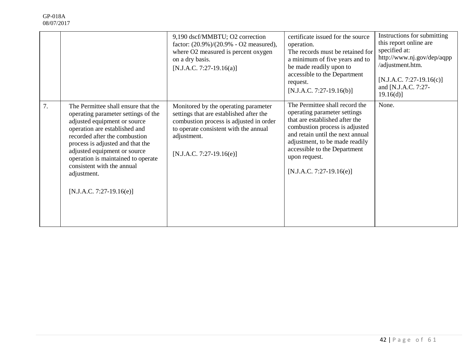|    |                                                                                                                                                                                                                                                                                                                                                                   | 9,190 dscf/MMBTU; O2 correction<br>factor: $(20.9\%)/(20.9\% - O2$ measured),<br>where O2 measured is percent oxygen<br>on a dry basis.<br>$[N.J.A.C. 7:27-19.16(a)]$                                            | certificate issued for the source<br>operation.<br>The records must be retained for<br>a minimum of five years and to<br>be made readily upon to<br>accessible to the Department<br>request.<br>$[N.J.A.C. 7:27-19.16(b)]$                                                              | Instructions for submitting<br>this report online are<br>specified at:<br>http://www.nj.gov/dep/aqpp<br>/adjustment.htm.<br>$[N.J.A.C. 7:27-19.16(c)]$<br>and [N.J.A.C. 7:27-<br>$19.16(d)$ ] |
|----|-------------------------------------------------------------------------------------------------------------------------------------------------------------------------------------------------------------------------------------------------------------------------------------------------------------------------------------------------------------------|------------------------------------------------------------------------------------------------------------------------------------------------------------------------------------------------------------------|-----------------------------------------------------------------------------------------------------------------------------------------------------------------------------------------------------------------------------------------------------------------------------------------|-----------------------------------------------------------------------------------------------------------------------------------------------------------------------------------------------|
| 7. | The Permittee shall ensure that the<br>operating parameter settings of the<br>adjusted equipment or source<br>operation are established and<br>recorded after the combustion<br>process is adjusted and that the<br>adjusted equipment or source<br>operation is maintained to operate<br>consistent with the annual<br>adjustment.<br>$[N.J.A.C. 7:27-19.16(e)]$ | Monitored by the operating parameter<br>settings that are established after the<br>combustion process is adjusted in order<br>to operate consistent with the annual<br>adjustment.<br>$[N.J.A.C. 7:27-19.16(e)]$ | The Permittee shall record the<br>operating parameter settings<br>that are established after the<br>combustion process is adjusted<br>and retain until the next annual<br>adjustment, to be made readily<br>accessible to the Department<br>upon request.<br>$[N.J.A.C. 7:27-19.16(e)]$ | None.                                                                                                                                                                                         |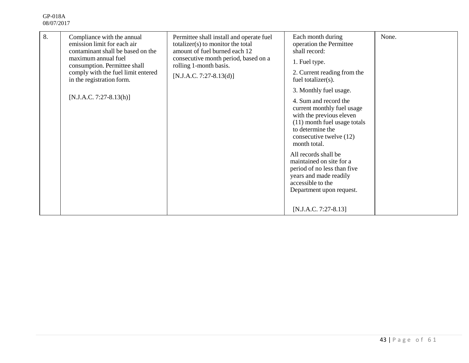| 8. | Compliance with the annual<br>emission limit for each air<br>contaminant shall be based on the<br>maximum annual fuel<br>consumption. Permittee shall<br>comply with the fuel limit entered<br>in the registration form.<br>$[N.J.A.C. 7:27-8.13(h)]$ | Permittee shall install and operate fuel<br>totalizer(s) to monitor the total<br>amount of fuel burned each 12<br>consecutive month period, based on a<br>rolling 1-month basis.<br>$[N.J.A.C. 7:27-8.13(d)]$ | Each month during<br>operation the Permittee<br>shall record:<br>1. Fuel type.<br>2. Current reading from the<br>fuel totalizer(s).<br>3. Monthly fuel usage.<br>4. Sum and record the<br>current monthly fuel usage<br>with the previous eleven<br>(11) month fuel usage totals<br>to determine the<br>consecutive twelve (12)<br>month total.<br>All records shall be<br>maintained on site for a<br>period of no less than five<br>years and made readily<br>accessible to the<br>Department upon request.<br>$[N.J.A.C. 7:27-8.13]$ | None. |
|----|-------------------------------------------------------------------------------------------------------------------------------------------------------------------------------------------------------------------------------------------------------|---------------------------------------------------------------------------------------------------------------------------------------------------------------------------------------------------------------|-----------------------------------------------------------------------------------------------------------------------------------------------------------------------------------------------------------------------------------------------------------------------------------------------------------------------------------------------------------------------------------------------------------------------------------------------------------------------------------------------------------------------------------------|-------|
|----|-------------------------------------------------------------------------------------------------------------------------------------------------------------------------------------------------------------------------------------------------------|---------------------------------------------------------------------------------------------------------------------------------------------------------------------------------------------------------------|-----------------------------------------------------------------------------------------------------------------------------------------------------------------------------------------------------------------------------------------------------------------------------------------------------------------------------------------------------------------------------------------------------------------------------------------------------------------------------------------------------------------------------------------|-------|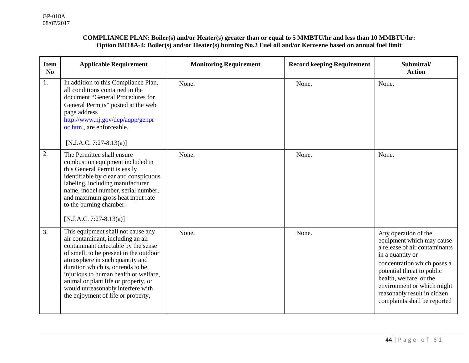#### **COMPLIANCE PLAN: Boiler(s) and/or Heater(s) greater than or equal to 5 MMBTU/hr and less than 10 MMBTU/hr: Option BH18A-4: Boiler(s) and/or Heater(s) burning No.2 Fuel oil and/or Kerosene based on annual fuel limit**

| <b>Item</b><br>No | <b>Applicable Requirement</b>                                                                                                                                                                                                                                                                                                                                                                 | <b>Monitoring Requirement</b> | <b>Record keeping Requirement</b> | Submittal/<br><b>Action</b>                                                                                                                                                                                                                                                                  |
|-------------------|-----------------------------------------------------------------------------------------------------------------------------------------------------------------------------------------------------------------------------------------------------------------------------------------------------------------------------------------------------------------------------------------------|-------------------------------|-----------------------------------|----------------------------------------------------------------------------------------------------------------------------------------------------------------------------------------------------------------------------------------------------------------------------------------------|
| 1.                | In addition to this Compliance Plan,<br>all conditions contained in the<br>document "General Procedures for<br>General Permits" posted at the web<br>page address<br>http://www.nj.gov/dep/aqpp/genpr<br>oc.htm, are enforceable.<br>[N.J.A.C. 7:27-8.13(a)]                                                                                                                                  | None.                         | None.                             | None.                                                                                                                                                                                                                                                                                        |
| 2.                | The Permittee shall ensure<br>combustion equipment included in<br>this General Permit is easily<br>identifiable by clear and conspicuous<br>labeling, including manufacturer<br>name, model number, serial number,<br>and maximum gross heat input rate<br>to the burning chamber.<br>$[N.J.A.C. 7:27-8.13(a)]$                                                                               | None.                         | None.                             | None.                                                                                                                                                                                                                                                                                        |
| 3.                | This equipment shall not cause any<br>air contaminant, including an air<br>contaminant detectable by the sense<br>of smell, to be present in the outdoor<br>atmosphere in such quantity and<br>duration which is, or tends to be,<br>injurious to human health or welfare,<br>animal or plant life or property, or<br>would unreasonably interfere with<br>the enjoyment of life or property, | None.                         | None.                             | Any operation of the<br>equipment which may cause<br>a release of air contaminants<br>in a quantity or<br>concentration which poses a<br>potential threat to public<br>health, welfare, or the<br>environment or which might<br>reasonably result in citizen<br>complaints shall be reported |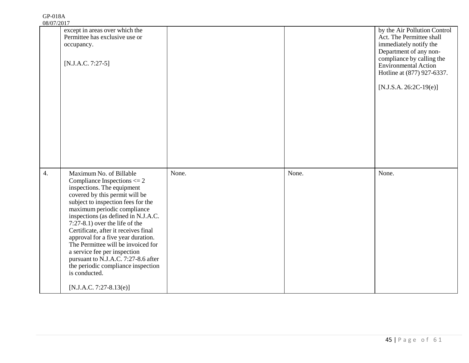| except in areas over which the<br>Permittee has exclusive use or<br>occupancy.<br>$[N.J.A.C. 7:27-5]$                                                                                                                                                                                                                                                                                                                                                                                                                                                      |            |       | by the Air Pollution Control<br>Act. The Permittee shall<br>immediately notify the<br>Department of any non-<br>compliance by calling the<br><b>Environmental Action</b><br>Hotline at (877) 927-6337. |
|------------------------------------------------------------------------------------------------------------------------------------------------------------------------------------------------------------------------------------------------------------------------------------------------------------------------------------------------------------------------------------------------------------------------------------------------------------------------------------------------------------------------------------------------------------|------------|-------|--------------------------------------------------------------------------------------------------------------------------------------------------------------------------------------------------------|
|                                                                                                                                                                                                                                                                                                                                                                                                                                                                                                                                                            |            |       | $[N.J.S.A. 26:2C-19(e)]$                                                                                                                                                                               |
|                                                                                                                                                                                                                                                                                                                                                                                                                                                                                                                                                            |            |       |                                                                                                                                                                                                        |
| Maximum No. of Billable<br>Compliance Inspections $\leq$ 2<br>inspections. The equipment<br>covered by this permit will be<br>subject to inspection fees for the<br>maximum periodic compliance<br>inspections (as defined in N.J.A.C.<br>$7:27-8.1$ ) over the life of the<br>Certificate, after it receives final<br>approval for a five year duration.<br>The Permittee will be invoiced for<br>a service fee per inspection<br>pursuant to N.J.A.C. 7:27-8.6 after<br>the periodic compliance inspection<br>is conducted.<br>$[N.J.A.C. 7:27-8.13(e)]$ | None.      | None. | None.                                                                                                                                                                                                  |
|                                                                                                                                                                                                                                                                                                                                                                                                                                                                                                                                                            | 00/01/2011 |       |                                                                                                                                                                                                        |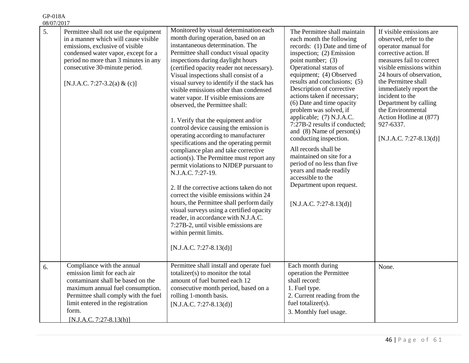| 00/07/201 |                                                                                                                                                                                                                                                                  |                                                                                                                                                                                                                                                                                                                                                                                                                                                                                                                                                                                                                                                                                                                                                                                                                                                                                                                                                                                                                                                                                                     |                                                                                                                                                                                                                                                                                                                                                                                                                                                                                                                                                                                                                                                                       |                                                                                                                                                                                                                                                                                                                                                                               |
|-----------|------------------------------------------------------------------------------------------------------------------------------------------------------------------------------------------------------------------------------------------------------------------|-----------------------------------------------------------------------------------------------------------------------------------------------------------------------------------------------------------------------------------------------------------------------------------------------------------------------------------------------------------------------------------------------------------------------------------------------------------------------------------------------------------------------------------------------------------------------------------------------------------------------------------------------------------------------------------------------------------------------------------------------------------------------------------------------------------------------------------------------------------------------------------------------------------------------------------------------------------------------------------------------------------------------------------------------------------------------------------------------------|-----------------------------------------------------------------------------------------------------------------------------------------------------------------------------------------------------------------------------------------------------------------------------------------------------------------------------------------------------------------------------------------------------------------------------------------------------------------------------------------------------------------------------------------------------------------------------------------------------------------------------------------------------------------------|-------------------------------------------------------------------------------------------------------------------------------------------------------------------------------------------------------------------------------------------------------------------------------------------------------------------------------------------------------------------------------|
| 5.        | Permittee shall not use the equipment<br>in a manner which will cause visible<br>emissions, exclusive of visible<br>condensed water vapor, except for a<br>period no more than 3 minutes in any<br>consecutive 30-minute period.<br>[N.J.A.C. 7:27-3.2(a) & (c)] | Monitored by visual determination each<br>month during operation, based on an<br>instantaneous determination. The<br>Permittee shall conduct visual opacity<br>inspections during daylight hours<br>(certified opacity reader not necessary).<br>Visual inspections shall consist of a<br>visual survey to identify if the stack has<br>visible emissions other than condensed<br>water vapor. If visible emissions are<br>observed, the Permittee shall:<br>1. Verify that the equipment and/or<br>control device causing the emission is<br>operating according to manufacturer<br>specifications and the operating permit<br>compliance plan and take corrective<br>action(s). The Permittee must report any<br>permit violations to NJDEP pursuant to<br>N.J.A.C. 7:27-19.<br>2. If the corrective actions taken do not<br>correct the visible emissions within 24<br>hours, the Permittee shall perform daily<br>visual surveys using a certified opacity<br>reader, in accordance with N.J.A.C.<br>7:27B-2, until visible emissions are<br>within permit limits.<br>$[N.J.A.C. 7:27-8.13(d)]$ | The Permittee shall maintain<br>each month the following<br>records: (1) Date and time of<br>inspection; (2) Emission<br>point number; (3)<br>Operational status of<br>equipment; (4) Observed<br>results and conclusions; (5)<br>Description of corrective<br>actions taken if necessary;<br>(6) Date and time opacity<br>problem was solved, if<br>applicable; (7) N.J.A.C.<br>7:27B-2 results if conducted;<br>and $(8)$ Name of person $(s)$<br>conducting inspection.<br>All records shall be<br>maintained on site for a<br>period of no less than five<br>years and made readily<br>accessible to the<br>Department upon request.<br>$[N.J.A.C. 7:27-8.13(d)]$ | If visible emissions are<br>observed, refer to the<br>operator manual for<br>corrective action. If<br>measures fail to correct<br>visible emissions within<br>24 hours of observation,<br>the Permittee shall<br>immediately report the<br>incident to the<br>Department by calling<br>the Environmental<br>Action Hotline at (877)<br>927-6337.<br>$[N.J.A.C. 7:27-8.13(d)]$ |
| 6.        | Compliance with the annual<br>emission limit for each air<br>contaminant shall be based on the<br>maximum annual fuel consumption.<br>Permittee shall comply with the fuel<br>limit entered in the registration<br>form.<br>$[N.J.A.C. 7:27-8.13(h)]$            | Permittee shall install and operate fuel<br>totalizer(s) to monitor the total<br>amount of fuel burned each 12<br>consecutive month period, based on a<br>rolling 1-month basis.<br>[N.J.A.C. 7:27-8.13(d)]                                                                                                                                                                                                                                                                                                                                                                                                                                                                                                                                                                                                                                                                                                                                                                                                                                                                                         | Each month during<br>operation the Permittee<br>shall record:<br>1. Fuel type.<br>2. Current reading from the<br>fuel totalizer(s).<br>3. Monthly fuel usage.                                                                                                                                                                                                                                                                                                                                                                                                                                                                                                         | None.                                                                                                                                                                                                                                                                                                                                                                         |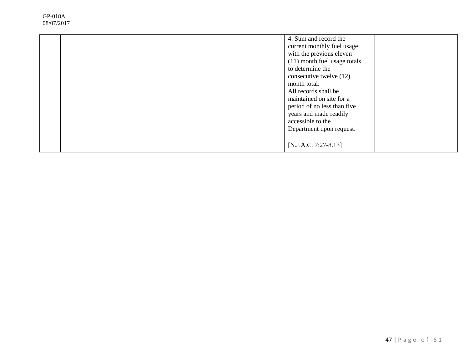|  | 4. Sum and record the<br>current monthly fuel usage<br>with the previous eleven<br>(11) month fuel usage totals<br>to determine the<br>consecutive twelve (12)<br>month total.<br>All records shall be<br>maintained on site for a<br>period of no less than five<br>years and made readily<br>accessible to the<br>Department upon request. |  |
|--|----------------------------------------------------------------------------------------------------------------------------------------------------------------------------------------------------------------------------------------------------------------------------------------------------------------------------------------------|--|
|  | [N.J.A.C. 7:27-8.13]                                                                                                                                                                                                                                                                                                                         |  |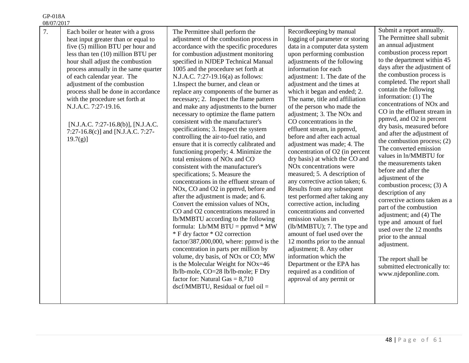GP-018A

| 08/07/2017                                                                                                                                                                                                                                                                                                                                                                                                                                                                                       |                                                                                                                                                                                                                                                                                                                                                                                                                                                                                                                                                                                                                                                                                                                                                                                                                                                                                                                                                                                                                                                                                                                                                                                                                                                                                                                                                                                                                                                                                                          |                                                                                                                                                                                                                                                                                                                                                                                                                                                                                                                                                                                                                                                                                                                                                                                                                                                                                                                                                                                                                                                                                                              |                                                                                                                                                                                                                                                                                                                                                                                                                                                                                                                                                                                                                                                                                                                                                                                                                                                                                                                                            |
|--------------------------------------------------------------------------------------------------------------------------------------------------------------------------------------------------------------------------------------------------------------------------------------------------------------------------------------------------------------------------------------------------------------------------------------------------------------------------------------------------|----------------------------------------------------------------------------------------------------------------------------------------------------------------------------------------------------------------------------------------------------------------------------------------------------------------------------------------------------------------------------------------------------------------------------------------------------------------------------------------------------------------------------------------------------------------------------------------------------------------------------------------------------------------------------------------------------------------------------------------------------------------------------------------------------------------------------------------------------------------------------------------------------------------------------------------------------------------------------------------------------------------------------------------------------------------------------------------------------------------------------------------------------------------------------------------------------------------------------------------------------------------------------------------------------------------------------------------------------------------------------------------------------------------------------------------------------------------------------------------------------------|--------------------------------------------------------------------------------------------------------------------------------------------------------------------------------------------------------------------------------------------------------------------------------------------------------------------------------------------------------------------------------------------------------------------------------------------------------------------------------------------------------------------------------------------------------------------------------------------------------------------------------------------------------------------------------------------------------------------------------------------------------------------------------------------------------------------------------------------------------------------------------------------------------------------------------------------------------------------------------------------------------------------------------------------------------------------------------------------------------------|--------------------------------------------------------------------------------------------------------------------------------------------------------------------------------------------------------------------------------------------------------------------------------------------------------------------------------------------------------------------------------------------------------------------------------------------------------------------------------------------------------------------------------------------------------------------------------------------------------------------------------------------------------------------------------------------------------------------------------------------------------------------------------------------------------------------------------------------------------------------------------------------------------------------------------------------|
| 7.<br>Each boiler or heater with a gross<br>heat input greater than or equal to<br>five (5) million BTU per hour and<br>less than ten (10) million BTU per<br>hour shall adjust the combustion<br>process annually in the same quarter<br>of each calendar year. The<br>adjustment of the combustion<br>process shall be done in accordance<br>with the procedure set forth at<br>N.J.A.C. 7:27-19.16.<br>[N.J.A.C. 7:27-16.8(b)], [N.J.A.C.<br>7:27-16.8(c)] and [N.J.A.C. 7:27-<br>$19.7(g)$ ] | The Permittee shall perform the<br>adjustment of the combustion process in<br>accordance with the specific procedures<br>for combustion adjustment monitoring<br>specified in NJDEP Technical Manual<br>1005 and the procedure set forth at<br>N.J.A.C. 7:27-19.16(a) as follows:<br>1. Inspect the burner, and clean or<br>replace any components of the burner as<br>necessary; 2. Inspect the flame pattern<br>and make any adjustments to the burner<br>necessary to optimize the flame pattern<br>consistent with the manufacturer's<br>specifications; 3. Inspect the system<br>controlling the air-to-fuel ratio, and<br>ensure that it is correctly calibrated and<br>functioning properly; 4. Minimize the<br>total emissions of NO <sub>x</sub> and CO<br>consistent with the manufacturer's<br>specifications; 5. Measure the<br>concentrations in the effluent stream of<br>NO <sub>x</sub> , CO and O <sub>2</sub> in ppmvd, before and<br>after the adjustment is made; and 6.<br>Convert the emission values of NO <sub>x</sub> ,<br>CO and O2 concentrations measured in<br>lb/MMBTU according to the following<br>formula: Lb/MM BTU = $ppmvd * MW$<br>* F dry factor * O2 correction<br>factor/387,000,000, where: ppmvd is the<br>concentration in parts per million by<br>volume, dry basis, of NO <sub>x</sub> or CO; MW<br>is the Molecular Weight for NOx=46<br>lb/lb-mole, CO=28 lb/lb-mole; F Dry<br>factor for: Natural Gas $= 8,710$<br>$dscf/MMBTU$ , Residual or fuel oil = | Recordkeeping by manual<br>logging of parameter or storing<br>data in a computer data system<br>upon performing combustion<br>adjustments of the following<br>information for each<br>adjustment: 1. The date of the<br>adjustment and the times at<br>which it began and ended; 2.<br>The name, title and affiliation<br>of the person who made the<br>adjustment; 3. The NO <sub>x</sub> and<br>CO concentrations in the<br>effluent stream, in ppmvd,<br>before and after each actual<br>adjustment was made; 4. The<br>concentration of O2 (in percent<br>dry basis) at which the CO and<br>NO <sub>x</sub> concentrations were<br>measured; 5. A description of<br>any corrective action taken; 6.<br>Results from any subsequent<br>test performed after taking any<br>corrective action, including<br>concentrations and converted<br>emission values in<br>(lb/MMBTU); 7. The type and<br>amount of fuel used over the<br>12 months prior to the annual<br>adjustment; 8. Any other<br>information which the<br>Department or the EPA has<br>required as a condition of<br>approval of any permit or | Submit a report annually.<br>The Permittee shall submit<br>an annual adjustment<br>combustion process report<br>to the department within 45<br>days after the adjustment of<br>the combustion process is<br>completed. The report shall<br>contain the following<br>information: (1) The<br>concentrations of NO <sub>x</sub> and<br>CO in the effluent stream in<br>ppmvd, and O2 in percent<br>dry basis, measured before<br>and after the adjustment of<br>the combustion process; $(2)$<br>The converted emission<br>values in ln/MMBTU for<br>the measurements taken<br>before and after the<br>adjustment of the<br>combustion process; (3) A<br>description of any<br>corrective actions taken as a<br>part of the combustion<br>adjustment; and (4) The<br>type and amount of fuel<br>used over the 12 months<br>prior to the annual<br>adjustment.<br>The report shall be<br>submitted electronically to:<br>www.njdeponline.com. |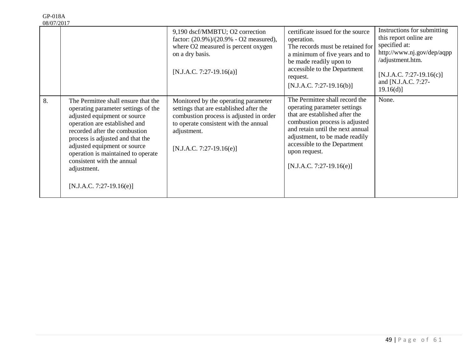| 08/07/2017 |                                                                                                                                                                                                                                                                                                                                                                   |                                                                                                                                                                                                                  |                                                                                                                                                                                                                                                                                         |                                                                                                                                                                                           |
|------------|-------------------------------------------------------------------------------------------------------------------------------------------------------------------------------------------------------------------------------------------------------------------------------------------------------------------------------------------------------------------|------------------------------------------------------------------------------------------------------------------------------------------------------------------------------------------------------------------|-----------------------------------------------------------------------------------------------------------------------------------------------------------------------------------------------------------------------------------------------------------------------------------------|-------------------------------------------------------------------------------------------------------------------------------------------------------------------------------------------|
|            |                                                                                                                                                                                                                                                                                                                                                                   | 9,190 dscf/MMBTU; O2 correction<br>factor: $(20.9\%)/(20.9\% - O2$ measured),<br>where O2 measured is percent oxygen<br>on a dry basis.<br>[N.J.A.C. 7:27-19.16(a)]                                              | certificate issued for the source<br>operation.<br>The records must be retained for<br>a minimum of five years and to<br>be made readily upon to<br>accessible to the Department<br>request.<br>$[N.J.A.C. 7:27-19.16(b)]$                                                              | Instructions for submitting<br>this report online are<br>specified at:<br>http://www.nj.gov/dep/aqpp<br>/adjustment.htm.<br>$[N.J.A.C. 7:27-19.16(c)]$<br>and [N.J.A.C. 7:27-<br>19.16(d) |
| 8.         | The Permittee shall ensure that the<br>operating parameter settings of the<br>adjusted equipment or source<br>operation are established and<br>recorded after the combustion<br>process is adjusted and that the<br>adjusted equipment or source<br>operation is maintained to operate<br>consistent with the annual<br>adjustment.<br>$[N.J.A.C. 7:27-19.16(e)]$ | Monitored by the operating parameter<br>settings that are established after the<br>combustion process is adjusted in order<br>to operate consistent with the annual<br>adjustment.<br>$[N.J.A.C. 7:27-19.16(e)]$ | The Permittee shall record the<br>operating parameter settings<br>that are established after the<br>combustion process is adjusted<br>and retain until the next annual<br>adjustment, to be made readily<br>accessible to the Department<br>upon request.<br>$[N.J.A.C. 7:27-19.16(e)]$ | None.                                                                                                                                                                                     |

GP-018A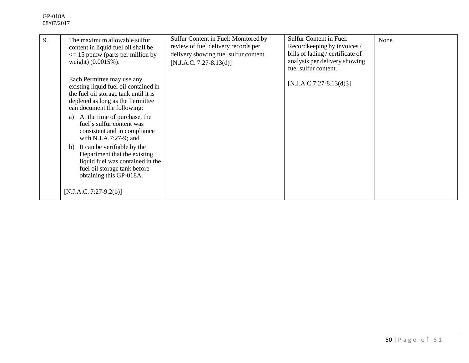| 9. | The maximum allowable sulfur<br>content in liquid fuel oil shall be<br>$\leq$ 15 ppmw (parts per million by<br>weight) (0.0015%).                                                                                                                                                                                                                  | Sulfur Content in Fuel: Monitored by<br>review of fuel delivery records per<br>delivery showing fuel sulfur content.<br>$[N.J.A.C. 7:27-8.13(d)]$ | <b>Sulfur Content in Fuel:</b><br>Recordkeeping by invoices /<br>bills of lading / certificate of<br>analysis per delivery showing<br>fuel sulfur content. | None. |
|----|----------------------------------------------------------------------------------------------------------------------------------------------------------------------------------------------------------------------------------------------------------------------------------------------------------------------------------------------------|---------------------------------------------------------------------------------------------------------------------------------------------------|------------------------------------------------------------------------------------------------------------------------------------------------------------|-------|
|    | Each Permittee may use any<br>existing liquid fuel oil contained in<br>the fuel oil storage tank until it is<br>depleted as long as the Permittee<br>can document the following:<br>At the time of purchase, the<br>a)<br>fuel's sulfur content was<br>consistent and in compliance<br>with N.J.A.7:27-9; and<br>It can be verifiable by the<br>b) |                                                                                                                                                   | $[N.J.A.C.7:27-8.13(d)3]$                                                                                                                                  |       |
|    | Department that the existing<br>liquid fuel was contained in the<br>fuel oil storage tank before<br>obtaining this GP-018A.<br>$[N.J.A.C. 7:27-9.2(b)]$                                                                                                                                                                                            |                                                                                                                                                   |                                                                                                                                                            |       |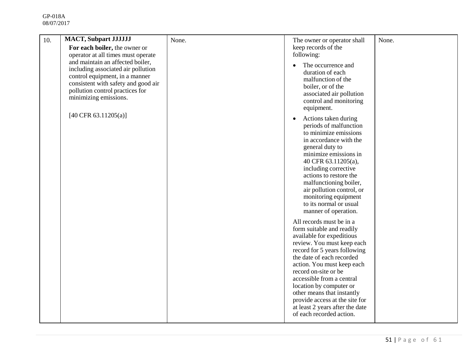| 10. | <b>MACT, Subpart JJJJJJJ</b><br>For each boiler, the owner or                                                                                                                                               | None. | The owner or operator shall<br>keep records of the                                                                                                                                                                                                                                                                                                                                                                         | None. |
|-----|-------------------------------------------------------------------------------------------------------------------------------------------------------------------------------------------------------------|-------|----------------------------------------------------------------------------------------------------------------------------------------------------------------------------------------------------------------------------------------------------------------------------------------------------------------------------------------------------------------------------------------------------------------------------|-------|
|     | operator at all times must operate                                                                                                                                                                          |       | following:                                                                                                                                                                                                                                                                                                                                                                                                                 |       |
|     | and maintain an affected boiler,<br>including associated air pollution<br>control equipment, in a manner<br>consistent with safety and good air<br>pollution control practices for<br>minimizing emissions. |       | The occurrence and<br>duration of each<br>malfunction of the<br>boiler, or of the<br>associated air pollution<br>control and monitoring<br>equipment.                                                                                                                                                                                                                                                                      |       |
|     | $[40 \text{ CFR } 63.11205(a)]$                                                                                                                                                                             |       | Actions taken during<br>$\bullet$<br>periods of malfunction<br>to minimize emissions<br>in accordance with the<br>general duty to<br>minimize emissions in<br>40 CFR 63.11205(a),<br>including corrective<br>actions to restore the<br>malfunctioning boiler,<br>air pollution control, or<br>monitoring equipment<br>to its normal or usual<br>manner of operation.                                                       |       |
|     |                                                                                                                                                                                                             |       | All records must be in a<br>form suitable and readily<br>available for expeditious<br>review. You must keep each<br>record for 5 years following<br>the date of each recorded<br>action. You must keep each<br>record on-site or be<br>accessible from a central<br>location by computer or<br>other means that instantly<br>provide access at the site for<br>at least 2 years after the date<br>of each recorded action. |       |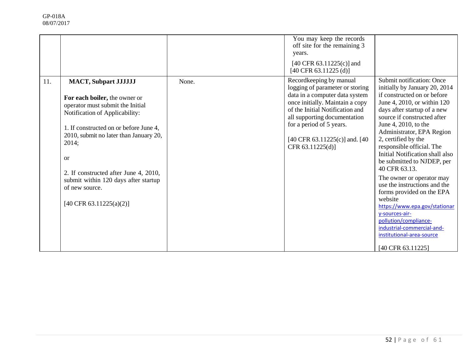|     |                                                                                                                                                                                                                                                                                                                                                                                |       | You may keep the records<br>off site for the remaining 3<br>years.<br>$[40 \text{ CFR } 63.11225(c)]$ and<br>$[40 \text{ CFR } 63.11225 \text{ (d)}]$                                                                                                                                |                                                                                                                                                                                                                                                                                                                                                                                                                                                                                                                                                                                                                                                    |
|-----|--------------------------------------------------------------------------------------------------------------------------------------------------------------------------------------------------------------------------------------------------------------------------------------------------------------------------------------------------------------------------------|-------|--------------------------------------------------------------------------------------------------------------------------------------------------------------------------------------------------------------------------------------------------------------------------------------|----------------------------------------------------------------------------------------------------------------------------------------------------------------------------------------------------------------------------------------------------------------------------------------------------------------------------------------------------------------------------------------------------------------------------------------------------------------------------------------------------------------------------------------------------------------------------------------------------------------------------------------------------|
| 11. | <b>MACT, Subpart JJJJJJ</b><br>For each boiler, the owner or<br>operator must submit the Initial<br>Notification of Applicability:<br>1. If constructed on or before June 4,<br>2010, submit no later than January 20,<br>2014;<br><sub>or</sub><br>2. If constructed after June 4, 2010,<br>submit within 120 days after startup<br>of new source.<br>[40 CFR 63.11225(a)(2)] | None. | Recordkeeping by manual<br>logging of parameter or storing<br>data in a computer data system<br>once initially. Maintain a copy<br>of the Initial Notification and<br>all supporting documentation<br>for a period of 5 years.<br>[40 CFR 63.11225(c)] and. [40]<br>CFR 63.11225(d)] | Submit notification: Once<br>initially by January 20, 2014<br>if constructed on or before<br>June 4, 2010, or within 120<br>days after startup of a new<br>source if constructed after<br>June 4, 2010, to the<br>Administrator, EPA Region<br>2, certified by the<br>responsible official. The<br>Initial Notification shall also<br>be submitted to NJDEP, per<br>40 CFR 63.13.<br>The owner or operator may<br>use the instructions and the<br>forms provided on the EPA<br>website<br>https://www.epa.gov/stationar<br>y-sources-air-<br>pollution/compliance-<br>industrial-commercial-and-<br>institutional-area-source<br>[40 CFR 63.11225] |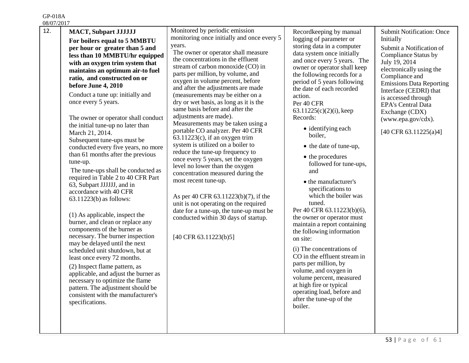GP-018A

| 08/07/2017 |                                                                                                                                                                                                                                                                                                                                                                                                                                                                                                                                                                                                                                                                                                                                                                                                                                                                                                                                                                                                                                                                                                                                                                        |                                                                                                                                                                                                                                                                                                                                                                                                                                                                                                                                                                                                                                                                                                                                                                                                                                                                                                                                                                                                       |                                                                                                                                                                                                                                                                                                                                                                                                                                                                                                                                                                                                                                                                                                                                                                                                                                                                                                                         |                                                                                                                                                                                                                                                                                                                                                           |
|------------|------------------------------------------------------------------------------------------------------------------------------------------------------------------------------------------------------------------------------------------------------------------------------------------------------------------------------------------------------------------------------------------------------------------------------------------------------------------------------------------------------------------------------------------------------------------------------------------------------------------------------------------------------------------------------------------------------------------------------------------------------------------------------------------------------------------------------------------------------------------------------------------------------------------------------------------------------------------------------------------------------------------------------------------------------------------------------------------------------------------------------------------------------------------------|-------------------------------------------------------------------------------------------------------------------------------------------------------------------------------------------------------------------------------------------------------------------------------------------------------------------------------------------------------------------------------------------------------------------------------------------------------------------------------------------------------------------------------------------------------------------------------------------------------------------------------------------------------------------------------------------------------------------------------------------------------------------------------------------------------------------------------------------------------------------------------------------------------------------------------------------------------------------------------------------------------|-------------------------------------------------------------------------------------------------------------------------------------------------------------------------------------------------------------------------------------------------------------------------------------------------------------------------------------------------------------------------------------------------------------------------------------------------------------------------------------------------------------------------------------------------------------------------------------------------------------------------------------------------------------------------------------------------------------------------------------------------------------------------------------------------------------------------------------------------------------------------------------------------------------------------|-----------------------------------------------------------------------------------------------------------------------------------------------------------------------------------------------------------------------------------------------------------------------------------------------------------------------------------------------------------|
| 12.        | <b>MACT, Subpart JJJJJJJ</b><br>For boilers equal to 5 MMBTU<br>per hour or greater than 5 and<br>less than 10 MMBTU/hr equipped<br>with an oxygen trim system that<br>maintains an optimum air-to fuel<br>ratio, and constructed on or<br>before June 4, 2010<br>Conduct a tune up: initially and<br>once every 5 years.<br>The owner or operator shall conduct<br>the initial tune-up no later than<br>March 21, 2014.<br>Subsequent tune-ups must be<br>conducted every five years, no more<br>than 61 months after the previous<br>tune-up.<br>The tune-ups shall be conducted as<br>required in Table 2 to 40 CFR Part<br>63, Subpart JJJJJJ, and in<br>accordance with 40 CFR<br>$63.11223(b)$ as follows:<br>(1) As applicable, inspect the<br>burner, and clean or replace any<br>components of the burner as<br>necessary. The burner inspection<br>may be delayed until the next<br>scheduled unit shutdown, but at<br>least once every 72 months.<br>(2) Inspect flame pattern, as<br>applicable, and adjust the burner as<br>necessary to optimize the flame<br>pattern. The adjustment should be<br>consistent with the manufacturer's<br>specifications. | Monitored by periodic emission<br>monitoring once initially and once every 5<br>years.<br>The owner or operator shall measure<br>the concentrations in the effluent<br>stream of carbon monoxide (CO) in<br>parts per million, by volume, and<br>oxygen in volume percent, before<br>and after the adjustments are made<br>(measurements may be either on a<br>dry or wet basis, as long as it is the<br>same basis before and after the<br>adjustments are made).<br>Measurements may be taken using a<br>portable CO analyzer. Per 40 CFR<br>$63.11223(c)$ , if an oxygen trim<br>system is utilized on a boiler to<br>reduce the tune-up frequency to<br>once every 5 years, set the oxygen<br>level no lower than the oxygen<br>concentration measured during the<br>most recent tune-up.<br>As per 40 CFR 63.11223(b)(7), if the<br>unit is not operating on the required<br>date for a tune-up, the tune-up must be<br>conducted within 30 days of startup.<br>$[40 \text{ CFR } 63.11223(b)5]$ | Recordkeeping by manual<br>logging of parameter or<br>storing data in a computer<br>data system once initially<br>and once every 5 years. The<br>owner or operator shall keep<br>the following records for a<br>period of 5 years following<br>the date of each recorded<br>action.<br>Per 40 CFR<br>63.11225(c)(2)(i), keep<br>Records:<br>• identifying each<br>boiler,<br>• the date of tune-up,<br>• the procedures<br>followed for tune-ups,<br>and<br>• the manufacturer's<br>specifications to<br>which the boiler was<br>tuned.<br>Per 40 CFR 63.11223(b)(6),<br>the owner or operator must<br>maintain a report containing<br>the following information<br>on site:<br>(i) The concentrations of<br>CO in the effluent stream in<br>parts per million, by<br>volume, and oxygen in<br>volume percent, measured<br>at high fire or typical<br>operating load, before and<br>after the tune-up of the<br>boiler. | <b>Submit Notification: Once</b><br>Initially<br>Submit a Notification of<br><b>Compliance Status by</b><br>July 19, 2014<br>electronically using the<br>Compliance and<br><b>Emissions Data Reporting</b><br>Interface (CEDRI) that<br>is accessed through<br><b>EPA's Central Data</b><br>Exchange (CDX)<br>(www.epa.gov/cdx).<br>[40 CFR 63.11225(a)4] |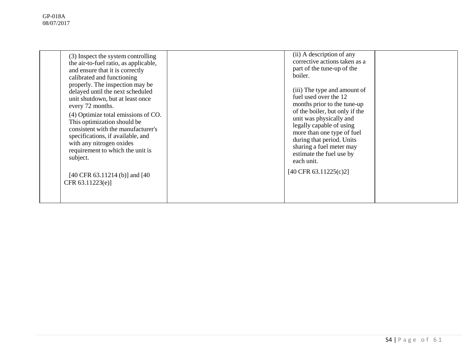| (3) Inspect the system controlling<br>the air-to-fuel ratio, as applicable,<br>and ensure that it is correctly<br>calibrated and functioning<br>properly. The inspection may be<br>delayed until the next scheduled<br>unit shutdown, but at least once<br>every 72 months.<br>(4) Optimize total emissions of CO.<br>This optimization should be<br>consistent with the manufacturer's<br>specifications, if available, and<br>with any nitrogen oxides<br>requirement to which the unit is<br>subject. | (ii) A description of any<br>corrective actions taken as a<br>part of the tune-up of the<br>boiler.<br>(iii) The type and amount of<br>fuel used over the 12<br>months prior to the tune-up<br>of the boiler, but only if the<br>unit was physically and<br>legally capable of using<br>more than one type of fuel<br>during that period. Units<br>sharing a fuel meter may<br>estimate the fuel use by<br>each unit. |  |
|----------------------------------------------------------------------------------------------------------------------------------------------------------------------------------------------------------------------------------------------------------------------------------------------------------------------------------------------------------------------------------------------------------------------------------------------------------------------------------------------------------|-----------------------------------------------------------------------------------------------------------------------------------------------------------------------------------------------------------------------------------------------------------------------------------------------------------------------------------------------------------------------------------------------------------------------|--|
| [40 CFR 63.11214 (b)] and [40]<br>CFR 63.11223(e)]                                                                                                                                                                                                                                                                                                                                                                                                                                                       | [40 CFR 63.11225(c)2]                                                                                                                                                                                                                                                                                                                                                                                                 |  |
|                                                                                                                                                                                                                                                                                                                                                                                                                                                                                                          |                                                                                                                                                                                                                                                                                                                                                                                                                       |  |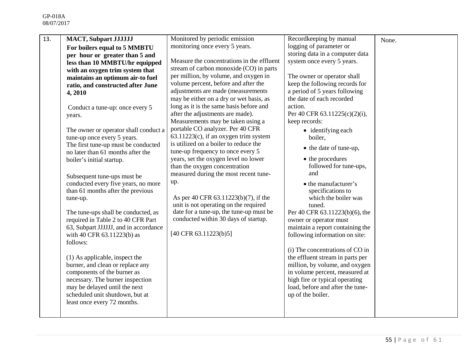| 13. | <b>MACT, Subpart JJJJJJJ</b>          | Monitored by periodic emission             | Recordkeeping by manual          | None. |
|-----|---------------------------------------|--------------------------------------------|----------------------------------|-------|
|     | For boilers equal to 5 MMBTU          | monitoring once every 5 years.             | logging of parameter or          |       |
|     | per hour or greater than 5 and        |                                            | storing data in a computer data  |       |
|     | less than 10 MMBTU/hr equipped        | Measure the concentrations in the effluent | system once every 5 years.       |       |
|     | with an oxygen trim system that       | stream of carbon monoxide (CO) in parts    |                                  |       |
|     | maintains an optimum air-to fuel      | per million, by volume, and oxygen in      | The owner or operator shall      |       |
|     | ratio, and constructed after June     | volume percent, before and after the       | keep the following records for   |       |
|     | 4,2010                                | adjustments are made (measurements         | a period of 5 years following    |       |
|     |                                       | may be either on a dry or wet basis, as    | the date of each recorded        |       |
|     | Conduct a tune-up: once every 5       | long as it is the same basis before and    | action.                          |       |
|     | years.                                | after the adjustments are made).           | Per 40 CFR 63.11225(c)(2)(i),    |       |
|     |                                       | Measurements may be taken using a          | keep records:                    |       |
|     | The owner or operator shall conduct a | portable CO analyzer. Per 40 CFR           | $\bullet$ identifying each       |       |
|     | tune-up once every 5 years.           | $63.11223(c)$ , if an oxygen trim system   | boiler.                          |       |
|     | The first tune-up must be conducted   | is utilized on a boiler to reduce the      | • the date of tune-up,           |       |
|     | no later than 61 months after the     | tune-up frequency to once every 5          |                                  |       |
|     | boiler's initial startup.             | years, set the oxygen level no lower       | • the procedures                 |       |
|     |                                       | than the oxygen concentration              | followed for tune-ups,           |       |
|     | Subsequent tune-ups must be           | measured during the most recent tune-      | and                              |       |
|     | conducted every five years, no more   | up.                                        | • the manufacturer's             |       |
|     | than 61 months after the previous     |                                            | specifications to                |       |
|     | tune-up.                              | As per 40 CFR 63.11223(b)(7), if the       | which the boiler was             |       |
|     |                                       | unit is not operating on the required      | tuned.                           |       |
|     | The tune-ups shall be conducted, as   | date for a tune-up, the tune-up must be    | Per 40 CFR 63.11223(b)(6), the   |       |
|     | required in Table 2 to 40 CFR Part    | conducted within 30 days of startup.       | owner or operator must           |       |
|     | 63, Subpart JJJJJJ, and in accordance |                                            | maintain a report containing the |       |
|     | with 40 CFR 63.11223(b) as            | $[40 \text{ CFR } 63.11223(b)5]$           | following information on site:   |       |
|     | follows:                              |                                            |                                  |       |
|     |                                       |                                            | (i) The concentrations of CO in  |       |
|     | (1) As applicable, inspect the        |                                            | the effluent stream in parts per |       |
|     | burner, and clean or replace any      |                                            | million, by volume, and oxygen   |       |
|     | components of the burner as           |                                            | in volume percent, measured at   |       |
|     | necessary. The burner inspection      |                                            | high fire or typical operating   |       |
|     | may be delayed until the next         |                                            | load, before and after the tune- |       |
|     | scheduled unit shutdown, but at       |                                            | up of the boiler.                |       |
|     | least once every 72 months.           |                                            |                                  |       |
|     |                                       |                                            |                                  |       |
|     |                                       |                                            |                                  |       |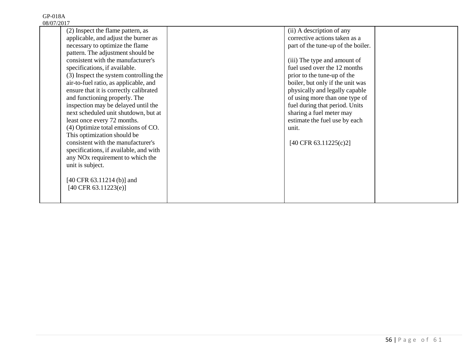| (2) Inspect the flame pattern, as            | (ii) A description of any          |  |
|----------------------------------------------|------------------------------------|--|
| applicable, and adjust the burner as         | corrective actions taken as a      |  |
| necessary to optimize the flame              | part of the tune-up of the boiler. |  |
| pattern. The adjustment should be            |                                    |  |
| consistent with the manufacturer's           | (iii) The type and amount of       |  |
| specifications, if available.                | fuel used over the 12 months       |  |
| (3) Inspect the system controlling the       | prior to the tune-up of the        |  |
| air-to-fuel ratio, as applicable, and        | boiler, but only if the unit was   |  |
| ensure that it is correctly calibrated       | physically and legally capable     |  |
| and functioning properly. The                | of using more than one type of     |  |
| inspection may be delayed until the          | fuel during that period. Units     |  |
| next scheduled unit shutdown, but at         | sharing a fuel meter may           |  |
| least once every 72 months.                  | estimate the fuel use by each      |  |
| (4) Optimize total emissions of CO.          | unit.                              |  |
| This optimization should be                  |                                    |  |
| consistent with the manufacturer's           | [40 CFR 63.11225(c)2]              |  |
| specifications, if available, and with       |                                    |  |
| any NO <sub>x</sub> requirement to which the |                                    |  |
| unit is subject.                             |                                    |  |
|                                              |                                    |  |
| $[40 \text{ CFR } 63.11214 \text{ (b)}]$ and |                                    |  |
| $[40 \text{ CFR } 63.11223(e)]$              |                                    |  |
|                                              |                                    |  |
|                                              |                                    |  |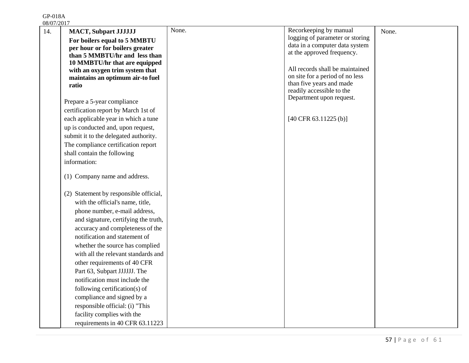GP-018A

| 08/07/2017                                                          |       |                                                           |       |
|---------------------------------------------------------------------|-------|-----------------------------------------------------------|-------|
| 14.<br><b>MACT, Subpart JJJJJJJ</b><br>For boilers equal to 5 MMBTU | None. | Recorkeeping by manual<br>logging of parameter or storing | None. |
| per hour or for boilers greater                                     |       | data in a computer data system                            |       |
| than 5 MMBTU/hr and less than                                       |       | at the approved frequency.                                |       |
| 10 MMBTU/hr that are equipped                                       |       |                                                           |       |
| with an oxygen trim system that                                     |       | All records shall be maintained                           |       |
| maintains an optimum air-to fuel                                    |       | on site for a period of no less                           |       |
| ratio                                                               |       | than five years and made<br>readily accessible to the     |       |
|                                                                     |       | Department upon request.                                  |       |
| Prepare a 5-year compliance                                         |       |                                                           |       |
| certification report by March 1st of                                |       |                                                           |       |
| each applicable year in which a tune                                |       | $[40 \text{ CFR } 63.11225 \text{ (b)}]$                  |       |
| up is conducted and, upon request,                                  |       |                                                           |       |
| submit it to the delegated authority.                               |       |                                                           |       |
| The compliance certification report                                 |       |                                                           |       |
| shall contain the following                                         |       |                                                           |       |
| information:                                                        |       |                                                           |       |
| (1) Company name and address.                                       |       |                                                           |       |
| (2) Statement by responsible official,                              |       |                                                           |       |
| with the official's name, title,                                    |       |                                                           |       |
| phone number, e-mail address,                                       |       |                                                           |       |
| and signature, certifying the truth,                                |       |                                                           |       |
| accuracy and completeness of the                                    |       |                                                           |       |
| notification and statement of                                       |       |                                                           |       |
| whether the source has complied                                     |       |                                                           |       |
| with all the relevant standards and                                 |       |                                                           |       |
| other requirements of 40 CFR                                        |       |                                                           |       |
| Part 63, Subpart JJJJJJ. The                                        |       |                                                           |       |
| notification must include the                                       |       |                                                           |       |
| following certification(s) of                                       |       |                                                           |       |
| compliance and signed by a                                          |       |                                                           |       |
| responsible official: (i) "This                                     |       |                                                           |       |
| facility complies with the                                          |       |                                                           |       |
| requirements in 40 CFR 63.11223                                     |       |                                                           |       |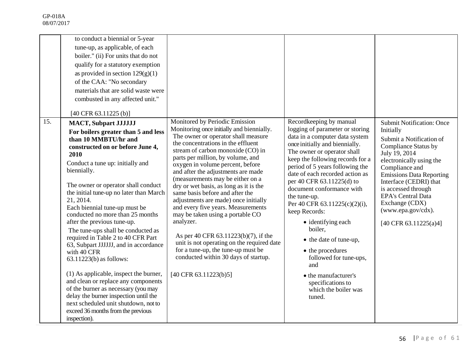|     | to conduct a biennial or 5-year<br>tune-up, as applicable, of each<br>boiler." (ii) For units that do not<br>qualify for a statutory exemption<br>as provided in section $129(g)(1)$<br>of the CAA: "No secondary<br>materials that are solid waste were<br>combusted in any affected unit."<br>[40 CFR 63.11225 (b)]                                                                                                                                                                                                                                                                                                                                                                                                                                                                                                         |                                                                                                                                                                                                                                                                                                                                                                                                                                                                                                                                                                                                                                                                                                                                                           |                                                                                                                                                                                                                                                                                                                                                                                                                                                                                                                                                                                                    |                                                                                                                                                                                                                                                                                                                                                           |
|-----|-------------------------------------------------------------------------------------------------------------------------------------------------------------------------------------------------------------------------------------------------------------------------------------------------------------------------------------------------------------------------------------------------------------------------------------------------------------------------------------------------------------------------------------------------------------------------------------------------------------------------------------------------------------------------------------------------------------------------------------------------------------------------------------------------------------------------------|-----------------------------------------------------------------------------------------------------------------------------------------------------------------------------------------------------------------------------------------------------------------------------------------------------------------------------------------------------------------------------------------------------------------------------------------------------------------------------------------------------------------------------------------------------------------------------------------------------------------------------------------------------------------------------------------------------------------------------------------------------------|----------------------------------------------------------------------------------------------------------------------------------------------------------------------------------------------------------------------------------------------------------------------------------------------------------------------------------------------------------------------------------------------------------------------------------------------------------------------------------------------------------------------------------------------------------------------------------------------------|-----------------------------------------------------------------------------------------------------------------------------------------------------------------------------------------------------------------------------------------------------------------------------------------------------------------------------------------------------------|
| 15. | <b>MACT, Subpart JJJJJJJ</b><br>For boilers greater than 5 and less<br>than 10 MMBTU/hr and<br>constructed on or before June 4,<br>2010<br>Conduct a tune up: initially and<br>biennially.<br>The owner or operator shall conduct<br>the initial tune-up no later than March<br>21, 2014.<br>Each biennial tune-up must be<br>conducted no more than 25 months<br>after the previous tune-up.<br>The tune-ups shall be conducted as<br>required in Table 2 to 40 CFR Part<br>63, Subpart JJJJJJ, and in accordance<br>with 40 CFR<br>$63.11223(b)$ as follows:<br>(1) As applicable, inspect the burner,<br>and clean or replace any components<br>of the burner as necessary (you may<br>delay the burner inspection until the<br>next scheduled unit shutdown, not to<br>exceed 36 months from the previous<br>inspection). | Monitored by Periodic Emission<br>Monitoring once initially and biennially.<br>The owner or operator shall measure<br>the concentrations in the effluent<br>stream of carbon monoxide (CO) in<br>parts per million, by volume, and<br>oxygen in volume percent, before<br>and after the adjustments are made<br>(measurements may be either on a<br>dry or wet basis, as long as it is the<br>same basis before and after the<br>adjustments are made) once initially<br>and every five years. Measurements<br>may be taken using a portable CO<br>analyzer.<br>As per 40 CFR 63.11223(b)(7), if the<br>unit is not operating on the required date<br>for a tune-up, the tune-up must be<br>conducted within 30 days of startup.<br>[40 CFR 63.11223(b)5] | Recordkeeping by manual<br>logging of parameter or storing<br>data in a computer data system<br>once initially and biennially.<br>The owner or operator shall<br>keep the following records for a<br>period of 5 years following the<br>date of each recorded action as<br>per 40 CFR 63.11225(d) to<br>document conformance with<br>the tune-up.<br>Per 40 CFR 63.11225(c)(2)(i),<br>keep Records:<br>• identifying each<br>boiler,<br>• the date of tune-up,<br>• the procedures<br>followed for tune-ups,<br>and<br>• the manufacturer's<br>specifications to<br>which the boiler was<br>tuned. | <b>Submit Notification: Once</b><br>Initially<br>Submit a Notification of<br><b>Compliance Status by</b><br>July 19, 2014<br>electronically using the<br>Compliance and<br><b>Emissions Data Reporting</b><br>Interface (CEDRI) that<br>is accessed through<br><b>EPA's Central Data</b><br>Exchange (CDX)<br>(www.epa.gov/cdx).<br>[40 CFR 63.11225(a)4] |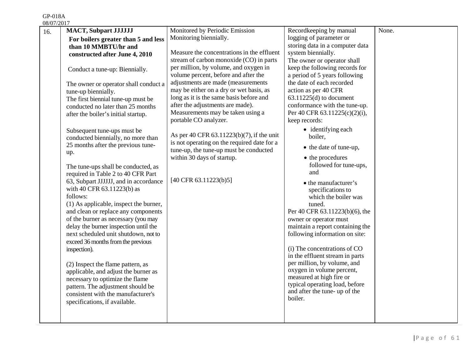GP-018A

| 08/07/2017 |                                        |                                             |                                  |       |
|------------|----------------------------------------|---------------------------------------------|----------------------------------|-------|
| 16.        | <b>MACT, Subpart JJJJJJJ</b>           | Monitored by Periodic Emission              | Recordkeeping by manual          | None. |
|            | For boilers greater than 5 and less    | Monitoring biennially.                      | logging of parameter or          |       |
|            | than 10 MMBTU/hr and                   |                                             | storing data in a computer data  |       |
|            | constructed after June 4, 2010         | Measure the concentrations in the effluent  | system biennially.               |       |
|            |                                        | stream of carbon monoxide (CO) in parts     | The owner or operator shall      |       |
|            | Conduct a tune-up: Biennially.         | per million, by volume, and oxygen in       | keep the following records for   |       |
|            |                                        | volume percent, before and after the        | a period of 5 years following    |       |
|            | The owner or operator shall conduct a  | adjustments are made (measurements          | the date of each recorded        |       |
|            | tune-up biennially.                    | may be either on a dry or wet basis, as     | action as per 40 CFR             |       |
|            | The first biennial tune-up must be     | long as it is the same basis before and     | $63.11225(d)$ to document        |       |
|            | conducted no later than 25 months      | after the adjustments are made).            | conformance with the tune-up.    |       |
|            | after the boiler's initial startup.    | Measurements may be taken using a           | Per 40 CFR 63.11225(c)(2)(i),    |       |
|            |                                        | portable CO analyzer.                       | keep records:                    |       |
|            | Subsequent tune-ups must be            |                                             | $\bullet$ identifying each       |       |
|            | conducted biennially, no more than     | As per 40 CFR 63.11223(b)(7), if the unit   | boiler.                          |       |
|            | 25 months after the previous tune-     | is not operating on the required date for a |                                  |       |
|            | up.                                    | tune-up, the tune-up must be conducted      | • the date of tune-up,           |       |
|            |                                        | within 30 days of startup.                  | • the procedures                 |       |
|            | The tune-ups shall be conducted, as    |                                             | followed for tune-ups,           |       |
|            | required in Table 2 to 40 CFR Part     |                                             | and                              |       |
|            | 63, Subpart JJJJJJ, and in accordance  | $[40 \text{ CFR } 63.11223(b)5]$            | • the manufacturer's             |       |
|            | with 40 CFR 63.11223(b) as             |                                             | specifications to                |       |
|            | follows:                               |                                             | which the boiler was             |       |
|            | (1) As applicable, inspect the burner, |                                             | tuned.                           |       |
|            | and clean or replace any components    |                                             | Per 40 CFR 63.11223(b)(6), the   |       |
|            | of the burner as necessary (you may    |                                             | owner or operator must           |       |
|            | delay the burner inspection until the  |                                             | maintain a report containing the |       |
|            | next scheduled unit shutdown, not to   |                                             | following information on site:   |       |
|            | exceed 36 months from the previous     |                                             |                                  |       |
|            | inspection).                           |                                             | (i) The concentrations of CO     |       |
|            |                                        |                                             | in the effluent stream in parts  |       |
|            | (2) Inspect the flame pattern, as      |                                             | per million, by volume, and      |       |
|            | applicable, and adjust the burner as   |                                             | oxygen in volume percent,        |       |
|            | necessary to optimize the flame        |                                             | measured at high fire or         |       |
|            | pattern. The adjustment should be      |                                             | typical operating load, before   |       |
|            | consistent with the manufacturer's     |                                             | and after the tune- up of the    |       |
|            | specifications, if available.          |                                             | boiler.                          |       |
|            |                                        |                                             |                                  |       |
|            |                                        |                                             |                                  |       |
|            |                                        |                                             |                                  |       |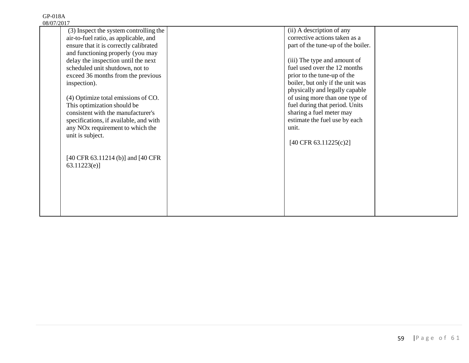| 3/ V <i>1 / 2</i> V 1 <i>1</i> |                                              |                                    |  |
|--------------------------------|----------------------------------------------|------------------------------------|--|
|                                | (3) Inspect the system controlling the       | (ii) A description of any          |  |
|                                | air-to-fuel ratio, as applicable, and        | corrective actions taken as a      |  |
|                                | ensure that it is correctly calibrated       | part of the tune-up of the boiler. |  |
|                                | and functioning properly (you may            |                                    |  |
|                                | delay the inspection until the next          | (iii) The type and amount of       |  |
|                                | scheduled unit shutdown, not to              | fuel used over the 12 months       |  |
|                                | exceed 36 months from the previous           | prior to the tune-up of the        |  |
|                                | inspection).                                 | boiler, but only if the unit was   |  |
|                                |                                              | physically and legally capable     |  |
|                                | (4) Optimize total emissions of CO.          | of using more than one type of     |  |
|                                | This optimization should be                  | fuel during that period. Units     |  |
|                                | consistent with the manufacturer's           | sharing a fuel meter may           |  |
|                                | specifications, if available, and with       | estimate the fuel use by each      |  |
|                                | any NO <sub>x</sub> requirement to which the | unit.                              |  |
|                                | unit is subject.                             |                                    |  |
|                                |                                              | $[40 \text{ CFR } 63.11225(c)2]$   |  |
|                                |                                              |                                    |  |
|                                | [40 CFR 63.11214 (b)] and [40 CFR            |                                    |  |
|                                |                                              |                                    |  |
|                                | 63.11223(e)                                  |                                    |  |
|                                |                                              |                                    |  |
|                                |                                              |                                    |  |
|                                |                                              |                                    |  |
|                                |                                              |                                    |  |
|                                |                                              |                                    |  |
|                                |                                              |                                    |  |
|                                |                                              |                                    |  |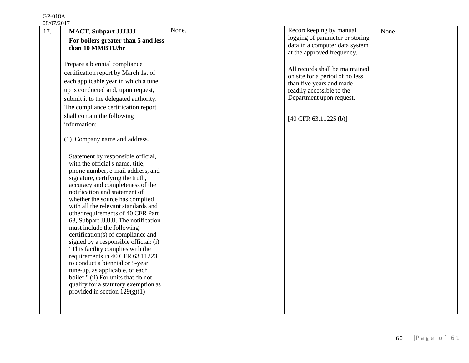| <u>08/07/2017</u> |                                                                                                               |       |                                                                    |       |
|-------------------|---------------------------------------------------------------------------------------------------------------|-------|--------------------------------------------------------------------|-------|
| 17.               | <b>MACT, Subpart JJJJJJJ</b>                                                                                  | None. | Recordkeeping by manual<br>logging of parameter or storing         | None. |
|                   | For boilers greater than 5 and less                                                                           |       | data in a computer data system                                     |       |
|                   | than 10 MMBTU/hr                                                                                              |       | at the approved frequency.                                         |       |
|                   | Prepare a biennial compliance<br>certification report by March 1st of<br>each applicable year in which a tune |       | All records shall be maintained<br>on site for a period of no less |       |
|                   |                                                                                                               |       | than five years and made                                           |       |
|                   | up is conducted and, upon request,                                                                            |       | readily accessible to the<br>Department upon request.              |       |
|                   | submit it to the delegated authority.<br>The compliance certification report                                  |       |                                                                    |       |
|                   | shall contain the following                                                                                   |       |                                                                    |       |
|                   | information:                                                                                                  |       | $[40 \text{ CFR } 63.11225 \text{ (b)}]$                           |       |
|                   |                                                                                                               |       |                                                                    |       |
|                   | (1) Company name and address.                                                                                 |       |                                                                    |       |
|                   |                                                                                                               |       |                                                                    |       |
|                   | Statement by responsible official,                                                                            |       |                                                                    |       |
|                   | with the official's name, title,                                                                              |       |                                                                    |       |
|                   | phone number, e-mail address, and                                                                             |       |                                                                    |       |
|                   | signature, certifying the truth,<br>accuracy and completeness of the                                          |       |                                                                    |       |
|                   | notification and statement of                                                                                 |       |                                                                    |       |
|                   | whether the source has complied                                                                               |       |                                                                    |       |
|                   | with all the relevant standards and                                                                           |       |                                                                    |       |
|                   | other requirements of 40 CFR Part                                                                             |       |                                                                    |       |
|                   | 63, Subpart JJJJJJ. The notification<br>must include the following                                            |       |                                                                    |       |
|                   | certification(s) of compliance and                                                                            |       |                                                                    |       |
|                   | signed by a responsible official: (i)                                                                         |       |                                                                    |       |
|                   | "This facility complies with the                                                                              |       |                                                                    |       |
|                   | requirements in 40 CFR 63.11223                                                                               |       |                                                                    |       |
|                   | to conduct a biennial or 5-year<br>tune-up, as applicable, of each                                            |       |                                                                    |       |
|                   | boiler." (ii) For units that do not                                                                           |       |                                                                    |       |
|                   | qualify for a statutory exemption as                                                                          |       |                                                                    |       |
|                   | provided in section $129(g)(1)$                                                                               |       |                                                                    |       |
|                   |                                                                                                               |       |                                                                    |       |
|                   |                                                                                                               |       |                                                                    |       |
|                   |                                                                                                               |       |                                                                    |       |